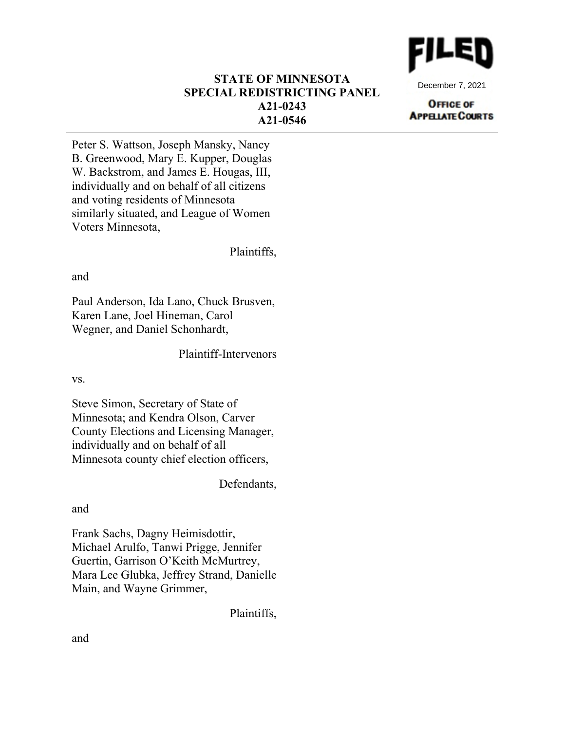

December 7, 2021

### **OFFICE OF APPELIATE COURTS**

# **STATE OF MINNESOTA SPECIAL REDISTRICTING PANEL A21-0243 A21-0546**

Peter S. Wattson, Joseph Mansky, Nancy B. Greenwood, Mary E. Kupper, Douglas W. Backstrom, and James E. Hougas, III, individually and on behalf of all citizens and voting residents of Minnesota similarly situated, and League of Women Voters Minnesota,

Plaintiffs,

and

Paul Anderson, Ida Lano, Chuck Brusven, Karen Lane, Joel Hineman, Carol Wegner, and Daniel Schonhardt,

Plaintiff-Intervenors

vs.

Steve Simon, Secretary of State of Minnesota; and Kendra Olson, Carver County Elections and Licensing Manager, individually and on behalf of all Minnesota county chief election officers,

Defendants,

and

Frank Sachs, Dagny Heimisdottir, Michael Arulfo, Tanwi Prigge, Jennifer Guertin, Garrison O'Keith McMurtrey, Mara Lee Glubka, Jeffrey Strand, Danielle Main, and Wayne Grimmer,

Plaintiffs,

and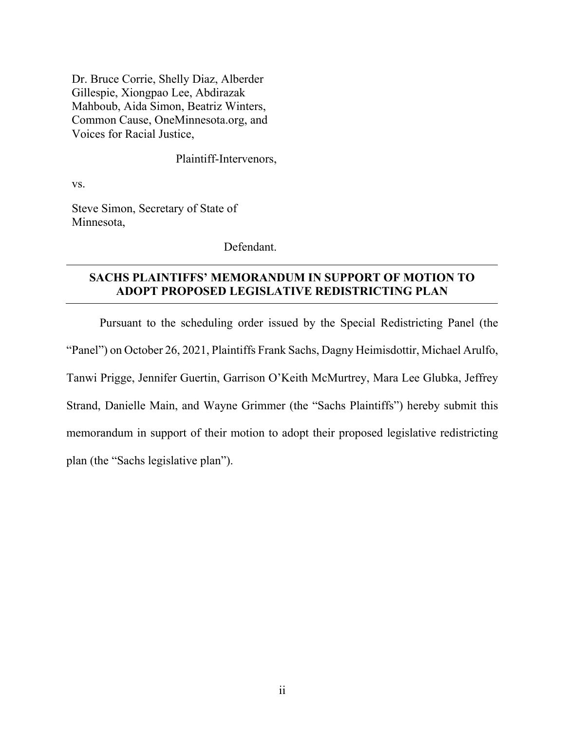Dr. Bruce Corrie, Shelly Diaz, Alberder Gillespie, Xiongpao Lee, Abdirazak Mahboub, Aida Simon, Beatriz Winters, Common Cause, OneMinnesota.org, and Voices for Racial Justice,

Plaintiff-Intervenors,

vs.

Steve Simon, Secretary of State of Minnesota,

Defendant.

# **SACHS PLAINTIFFS' MEMORANDUM IN SUPPORT OF MOTION TO ADOPT PROPOSED LEGISLATIVE REDISTRICTING PLAN**

Pursuant to the scheduling order issued by the Special Redistricting Panel (the "Panel") on October 26, 2021, Plaintiffs Frank Sachs, Dagny Heimisdottir, Michael Arulfo, Tanwi Prigge, Jennifer Guertin, Garrison O'Keith McMurtrey, Mara Lee Glubka, Jeffrey Strand, Danielle Main, and Wayne Grimmer (the "Sachs Plaintiffs") hereby submit this memorandum in support of their motion to adopt their proposed legislative redistricting plan (the "Sachs legislative plan").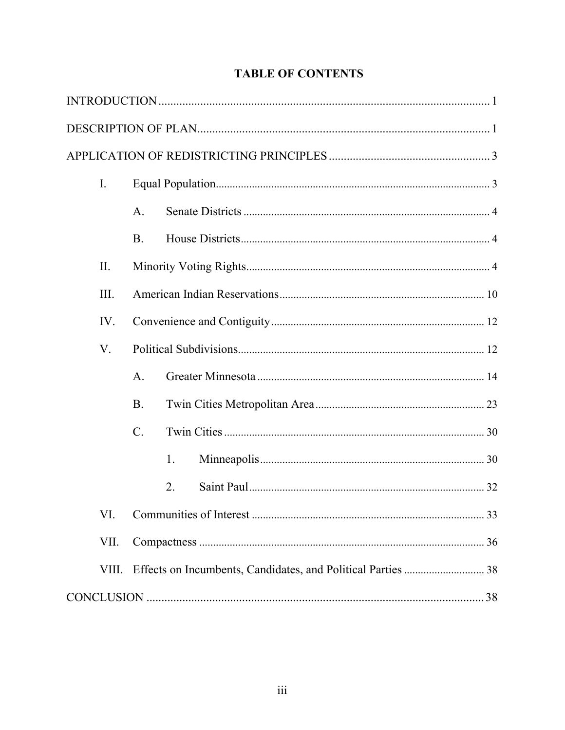| Ι.              |
|-----------------|
| A.              |
| <b>B.</b>       |
| II.             |
| III.            |
| IV.             |
| V.              |
| A.              |
| <b>B.</b>       |
| $\mathcal{C}$ . |
| 1.              |
| 2.              |
| VI.             |
| VII.            |
| VIII.           |
|                 |

# **TABLE OF CONTENTS**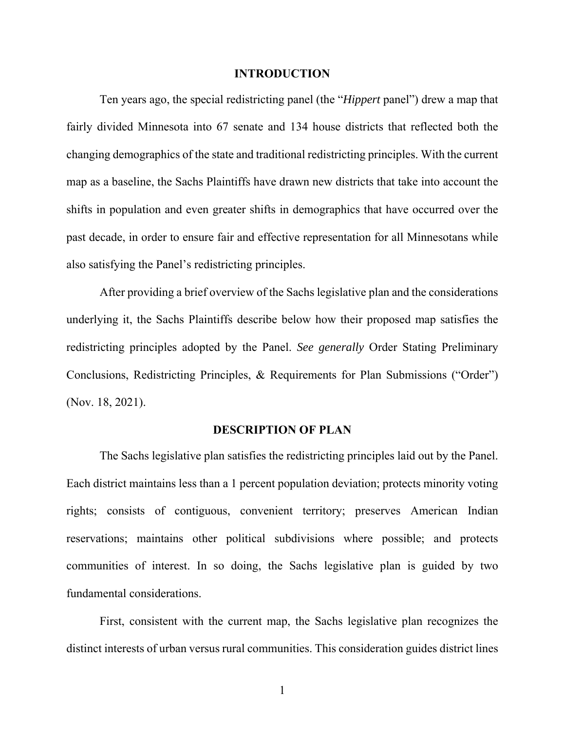#### **INTRODUCTION**

Ten years ago, the special redistricting panel (the "*Hippert* panel") drew a map that fairly divided Minnesota into 67 senate and 134 house districts that reflected both the changing demographics of the state and traditional redistricting principles. With the current map as a baseline, the Sachs Plaintiffs have drawn new districts that take into account the shifts in population and even greater shifts in demographics that have occurred over the past decade, in order to ensure fair and effective representation for all Minnesotans while also satisfying the Panel's redistricting principles.

After providing a brief overview of the Sachs legislative plan and the considerations underlying it, the Sachs Plaintiffs describe below how their proposed map satisfies the redistricting principles adopted by the Panel. *See generally* Order Stating Preliminary Conclusions, Redistricting Principles, & Requirements for Plan Submissions ("Order") (Nov. 18, 2021).

### **DESCRIPTION OF PLAN**

The Sachs legislative plan satisfies the redistricting principles laid out by the Panel. Each district maintains less than a 1 percent population deviation; protects minority voting rights; consists of contiguous, convenient territory; preserves American Indian reservations; maintains other political subdivisions where possible; and protects communities of interest. In so doing, the Sachs legislative plan is guided by two fundamental considerations.

First, consistent with the current map, the Sachs legislative plan recognizes the distinct interests of urban versus rural communities. This consideration guides district lines

1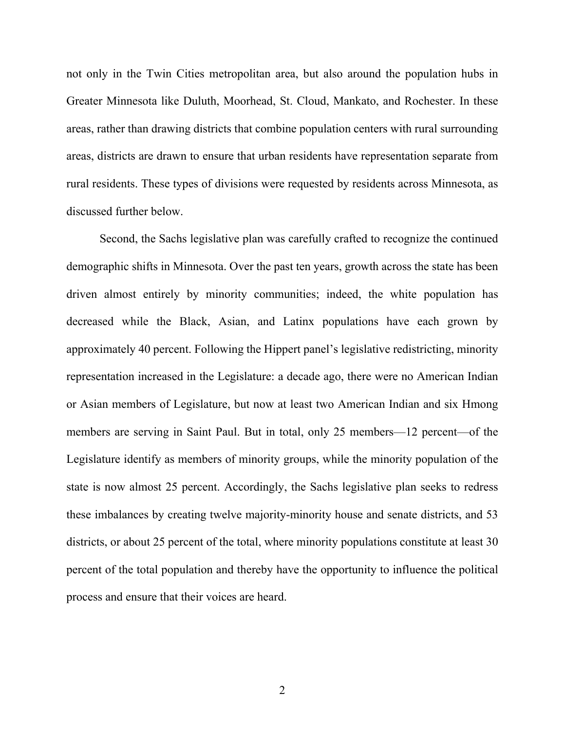not only in the Twin Cities metropolitan area, but also around the population hubs in Greater Minnesota like Duluth, Moorhead, St. Cloud, Mankato, and Rochester. In these areas, rather than drawing districts that combine population centers with rural surrounding areas, districts are drawn to ensure that urban residents have representation separate from rural residents. These types of divisions were requested by residents across Minnesota, as discussed further below.

Second, the Sachs legislative plan was carefully crafted to recognize the continued demographic shifts in Minnesota. Over the past ten years, growth across the state has been driven almost entirely by minority communities; indeed, the white population has decreased while the Black, Asian, and Latinx populations have each grown by approximately 40 percent. Following the Hippert panel's legislative redistricting, minority representation increased in the Legislature: a decade ago, there were no American Indian or Asian members of Legislature, but now at least two American Indian and six Hmong members are serving in Saint Paul. But in total, only 25 members—12 percent—of the Legislature identify as members of minority groups, while the minority population of the state is now almost 25 percent. Accordingly, the Sachs legislative plan seeks to redress these imbalances by creating twelve majority-minority house and senate districts, and 53 districts, or about 25 percent of the total, where minority populations constitute at least 30 percent of the total population and thereby have the opportunity to influence the political process and ensure that their voices are heard.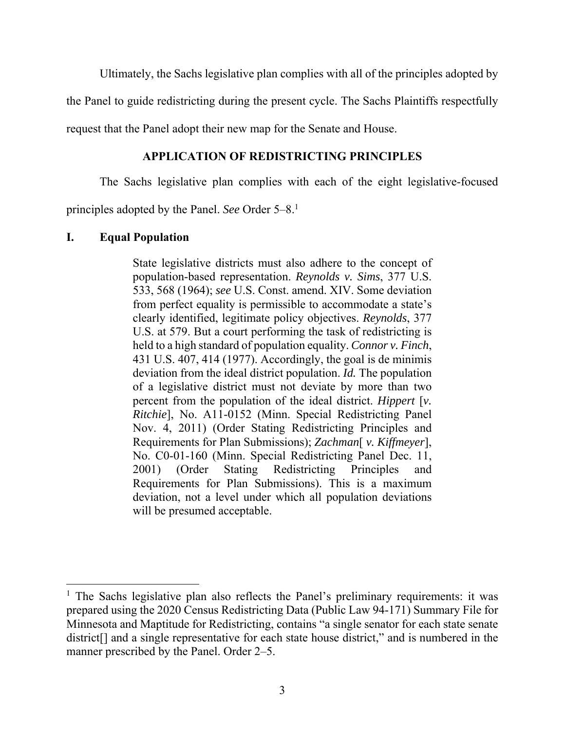Ultimately, the Sachs legislative plan complies with all of the principles adopted by

the Panel to guide redistricting during the present cycle. The Sachs Plaintiffs respectfully

request that the Panel adopt their new map for the Senate and House.

# **APPLICATION OF REDISTRICTING PRINCIPLES**

The Sachs legislative plan complies with each of the eight legislative-focused

principles adopted by the Panel. *See* Order 5–8.1

### **I. Equal Population**

 $\overline{a}$ 

State legislative districts must also adhere to the concept of population-based representation. *Reynolds v. Sims*, 377 U.S. 533, 568 (1964); *see* U.S. Const. amend. XIV. Some deviation from perfect equality is permissible to accommodate a state's clearly identified, legitimate policy objectives. *Reynolds*, 377 U.S. at 579. But a court performing the task of redistricting is held to a high standard of population equality. *Connor v. Finch*, 431 U.S. 407, 414 (1977). Accordingly, the goal is de minimis deviation from the ideal district population. *Id.* The population of a legislative district must not deviate by more than two percent from the population of the ideal district. *Hippert* [*v. Ritchie*], No. A11-0152 (Minn. Special Redistricting Panel Nov. 4, 2011) (Order Stating Redistricting Principles and Requirements for Plan Submissions); *Zachman*[ *v. Kiffmeyer*], No. C0-01-160 (Minn. Special Redistricting Panel Dec. 11, 2001) (Order Stating Redistricting Principles and Requirements for Plan Submissions). This is a maximum deviation, not a level under which all population deviations will be presumed acceptable.

<sup>&</sup>lt;sup>1</sup> The Sachs legislative plan also reflects the Panel's preliminary requirements: it was prepared using the 2020 Census Redistricting Data (Public Law 94-171) Summary File for Minnesota and Maptitude for Redistricting, contains "a single senator for each state senate district<sup>[]</sup> and a single representative for each state house district," and is numbered in the manner prescribed by the Panel. Order 2–5.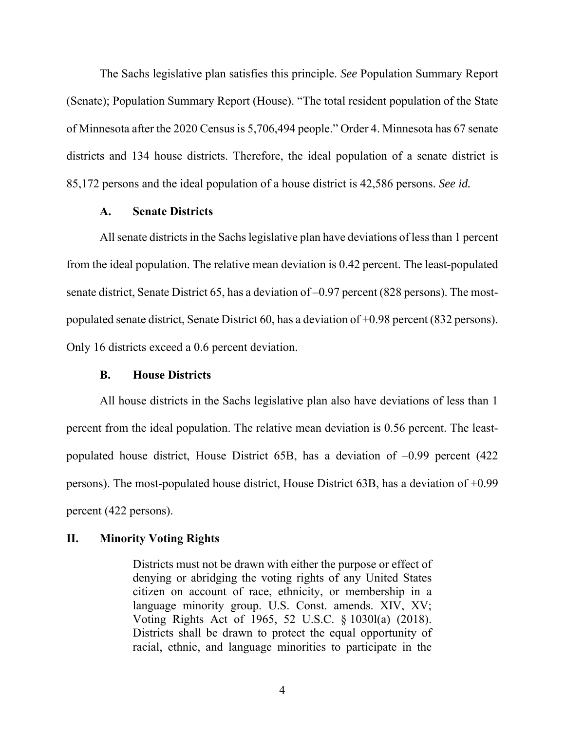The Sachs legislative plan satisfies this principle. *See* Population Summary Report (Senate); Population Summary Report (House). "The total resident population of the State of Minnesota after the 2020 Census is 5,706,494 people." Order 4. Minnesota has 67 senate districts and 134 house districts. Therefore, the ideal population of a senate district is 85,172 persons and the ideal population of a house district is 42,586 persons. *See id.*

### **A. Senate Districts**

All senate districts in the Sachs legislative plan have deviations of less than 1 percent from the ideal population. The relative mean deviation is 0.42 percent. The least-populated senate district, Senate District 65, has a deviation of –0.97 percent (828 persons). The mostpopulated senate district, Senate District 60, has a deviation of +0.98 percent (832 persons). Only 16 districts exceed a 0.6 percent deviation.

### **B. House Districts**

All house districts in the Sachs legislative plan also have deviations of less than 1 percent from the ideal population. The relative mean deviation is 0.56 percent. The leastpopulated house district, House District 65B, has a deviation of –0.99 percent (422 persons). The most-populated house district, House District 63B, has a deviation of +0.99 percent (422 persons).

### **II. Minority Voting Rights**

Districts must not be drawn with either the purpose or effect of denying or abridging the voting rights of any United States citizen on account of race, ethnicity, or membership in a language minority group. U.S. Const. amends. XIV, XV; Voting Rights Act of 1965, 52 U.S.C. § 1030l(a) (2018). Districts shall be drawn to protect the equal opportunity of racial, ethnic, and language minorities to participate in the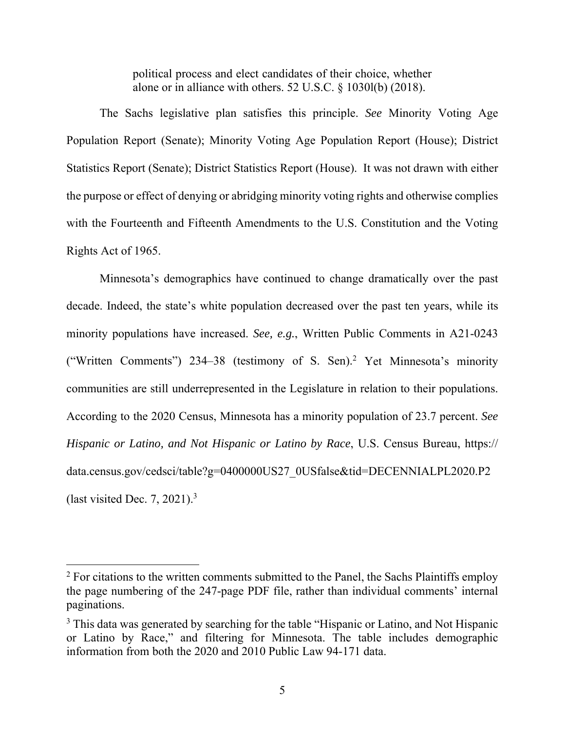political process and elect candidates of their choice, whether alone or in alliance with others. 52 U.S.C. § 1030l(b) (2018).

The Sachs legislative plan satisfies this principle. *See* Minority Voting Age Population Report (Senate); Minority Voting Age Population Report (House); District Statistics Report (Senate); District Statistics Report (House). It was not drawn with either the purpose or effect of denying or abridging minority voting rights and otherwise complies with the Fourteenth and Fifteenth Amendments to the U.S. Constitution and the Voting Rights Act of 1965.

Minnesota's demographics have continued to change dramatically over the past decade. Indeed, the state's white population decreased over the past ten years, while its minority populations have increased. *See, e.g.*, Written Public Comments in A21-0243 ("Written Comments") 234–38 (testimony of S. Sen).2 Yet Minnesota's minority communities are still underrepresented in the Legislature in relation to their populations. According to the 2020 Census, Minnesota has a minority population of 23.7 percent. *See Hispanic or Latino, and Not Hispanic or Latino by Race*, U.S. Census Bureau, https:// data.census.gov/cedsci/table?g=0400000US27\_0USfalse&tid=DECENNIALPL2020.P2 (last visited Dec. 7, 2021). $3$ 

 $\overline{a}$ 

 $2$  For citations to the written comments submitted to the Panel, the Sachs Plaintiffs employ the page numbering of the 247-page PDF file, rather than individual comments' internal paginations.

<sup>&</sup>lt;sup>3</sup> This data was generated by searching for the table "Hispanic or Latino, and Not Hispanic or Latino by Race," and filtering for Minnesota. The table includes demographic information from both the 2020 and 2010 Public Law 94-171 data.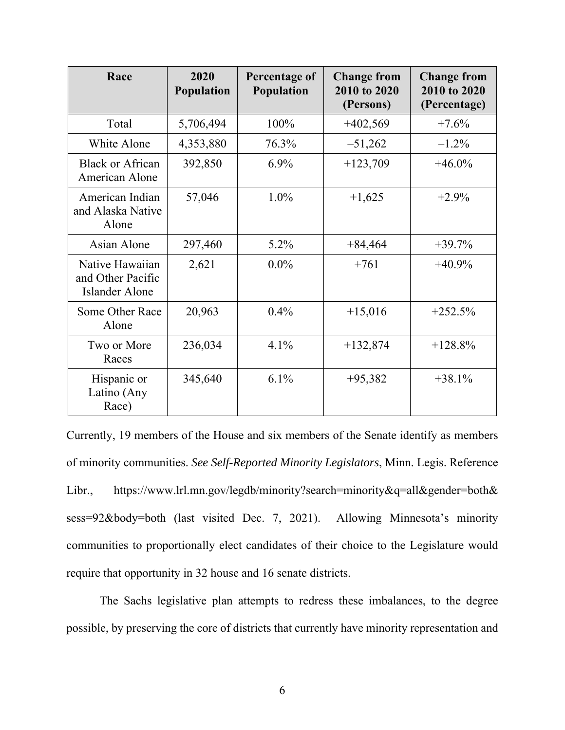| Race                                                          | 2020<br><b>Population</b> | Percentage of<br><b>Population</b> | <b>Change from</b><br>2010 to 2020<br>(Persons) | <b>Change from</b><br>2010 to 2020<br>(Percentage) |
|---------------------------------------------------------------|---------------------------|------------------------------------|-------------------------------------------------|----------------------------------------------------|
| Total                                                         | 5,706,494                 | 100%                               | $+402,569$                                      | $+7.6%$                                            |
| White Alone                                                   | 4,353,880                 | 76.3%                              | $-51,262$                                       | $-1.2\%$                                           |
| Black or African<br>American Alone                            | 392,850                   | $6.9\%$                            | $+123,709$                                      | $+46.0\%$                                          |
| American Indian<br>and Alaska Native<br>Alone                 | 57,046                    | $1.0\%$                            | $+1,625$                                        | $+2.9%$                                            |
| Asian Alone                                                   | 297,460                   | $5.2\%$                            | $+84,464$                                       | $+39.7%$                                           |
| Native Hawaiian<br>and Other Pacific<br><b>Islander Alone</b> | 2,621                     | $0.0\%$                            | $+761$                                          | $+40.9%$                                           |
| Some Other Race<br>Alone                                      | 20,963                    | $0.4\%$                            | $+15,016$                                       | $+252.5%$                                          |
| Two or More<br>Races                                          | 236,034                   | 4.1%                               | $+132,874$                                      | $+128.8%$                                          |
| Hispanic or<br>Latino (Any<br>Race)                           | 345,640                   | $6.1\%$                            | $+95,382$                                       | $+38.1%$                                           |

Currently, 19 members of the House and six members of the Senate identify as members of minority communities. *See Self-Reported Minority Legislators*, Minn. Legis. Reference Libr., https://www.lrl.mn.gov/legdb/minority?search=minority&q=all&gender=both& sess=92&body=both (last visited Dec. 7, 2021). Allowing Minnesota's minority communities to proportionally elect candidates of their choice to the Legislature would require that opportunity in 32 house and 16 senate districts.

The Sachs legislative plan attempts to redress these imbalances, to the degree possible, by preserving the core of districts that currently have minority representation and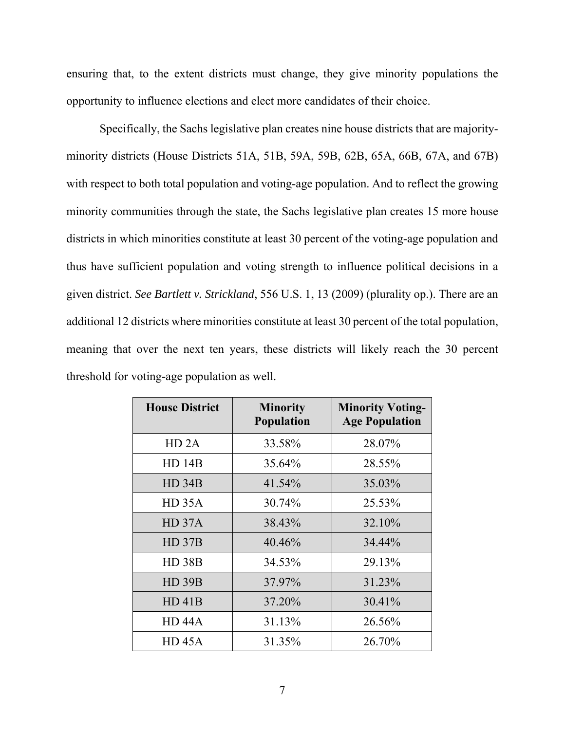ensuring that, to the extent districts must change, they give minority populations the opportunity to influence elections and elect more candidates of their choice.

Specifically, the Sachs legislative plan creates nine house districts that are majorityminority districts (House Districts 51A, 51B, 59A, 59B, 62B, 65A, 66B, 67A, and 67B) with respect to both total population and voting-age population. And to reflect the growing minority communities through the state, the Sachs legislative plan creates 15 more house districts in which minorities constitute at least 30 percent of the voting-age population and thus have sufficient population and voting strength to influence political decisions in a given district. *See Bartlett v. Strickland*, 556 U.S. 1, 13 (2009) (plurality op.). There are an additional 12 districts where minorities constitute at least 30 percent of the total population, meaning that over the next ten years, these districts will likely reach the 30 percent threshold for voting-age population as well.

| <b>House District</b> | <b>Minority</b><br><b>Population</b> | <b>Minority Voting-</b><br><b>Age Population</b> |
|-----------------------|--------------------------------------|--------------------------------------------------|
| HD 2A                 | 33.58%                               | 28.07%                                           |
| <b>HD 14B</b>         | 35.64%                               | 28.55%                                           |
| HD34B                 | 41.54%                               | 35.03%                                           |
| HD 35A                | 30.74%                               | 25.53%                                           |
| HD 37A                | 38.43%                               | 32.10%                                           |
| HD37B                 | 40.46%                               | 34.44%                                           |
| <b>HD 38B</b>         | 34.53%                               | 29.13%                                           |
| <b>HD 39B</b>         | 37.97%                               | 31.23%                                           |
| $HD$ 41B              | 37.20%                               | 30.41%                                           |
| <b>HD 44A</b>         | 31.13%                               | 26.56%                                           |
| HD 45A                | 31.35%                               | 26.70%                                           |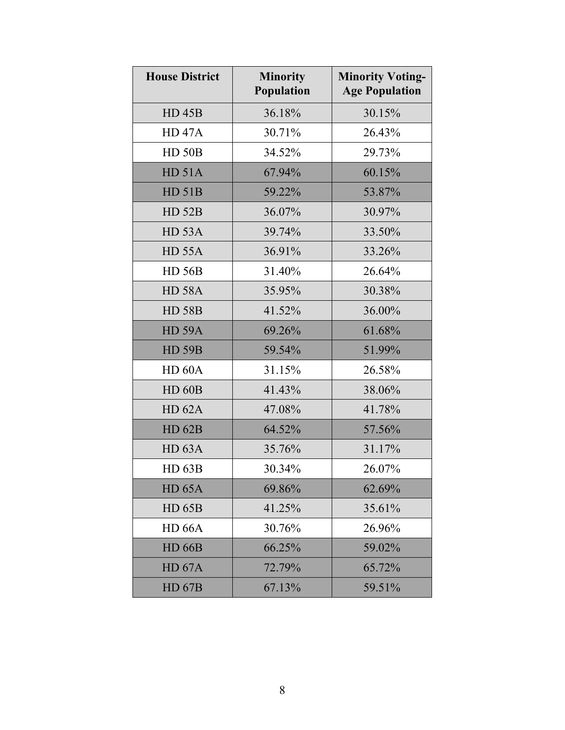| <b>House District</b> | <b>Minority</b><br>Population | <b>Minority Voting-</b><br><b>Age Population</b> |
|-----------------------|-------------------------------|--------------------------------------------------|
| <b>HD 45B</b>         | 36.18%                        | 30.15%                                           |
| <b>HD 47A</b>         | 30.71%                        | 26.43%                                           |
| <b>HD 50B</b>         | 34.52%                        | 29.73%                                           |
| HD 51A                | 67.94%                        | 60.15%                                           |
| HD 51B                | 59.22%                        | 53.87%                                           |
| <b>HD 52B</b>         | 36.07%                        | 30.97%                                           |
| <b>HD 53A</b>         | 39.74%                        | 33.50%                                           |
| <b>HD 55A</b>         | 36.91%                        | 33.26%                                           |
| <b>HD 56B</b>         | 31.40%                        | 26.64%                                           |
| <b>HD 58A</b>         | 35.95%                        | 30.38%                                           |
| <b>HD 58B</b>         | 41.52%                        | 36.00%                                           |
| <b>HD 59A</b>         | 69.26%                        | 61.68%                                           |
| <b>HD 59B</b>         | 59.54%                        | 51.99%                                           |
| HD <sub>60</sub> A    | 31.15%                        | 26.58%                                           |
| <b>HD 60B</b>         | 41.43%                        | 38.06%                                           |
| HD 62A                | 47.08%                        | 41.78%                                           |
| <b>HD 62B</b>         | 64.52%                        | 57.56%                                           |
| HD 63A                | 35.76%                        | 31.17%                                           |
| <b>HD 63B</b>         | 30.34%                        | 26.07%                                           |
| <b>HD 65A</b>         | 69.86%                        | 62.69%                                           |
| <b>HD 65B</b>         | 41.25%                        | 35.61%                                           |
| <b>HD 66A</b>         | 30.76%                        | 26.96%                                           |
| <b>HD 66B</b>         | 66.25%                        | 59.02%                                           |
| HD 67A                | 72.79%                        | 65.72%                                           |
| <b>HD 67B</b>         | 67.13%                        | 59.51%                                           |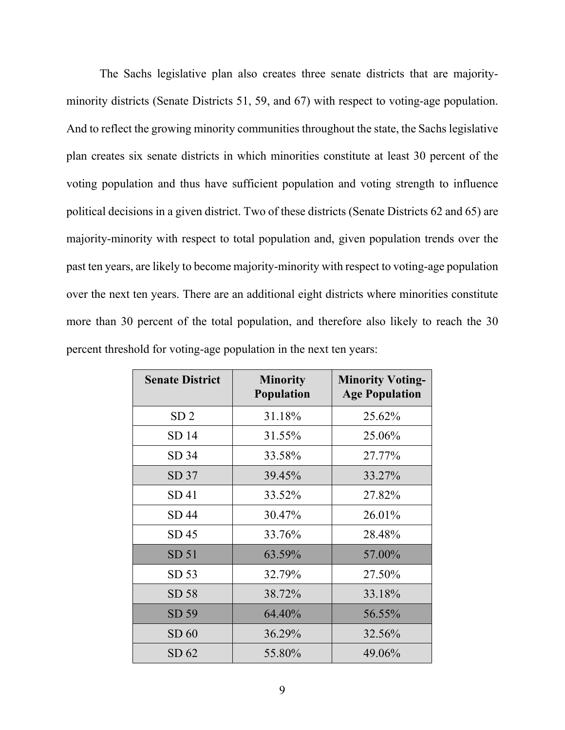The Sachs legislative plan also creates three senate districts that are majorityminority districts (Senate Districts 51, 59, and 67) with respect to voting-age population. And to reflect the growing minority communities throughout the state, the Sachs legislative plan creates six senate districts in which minorities constitute at least 30 percent of the voting population and thus have sufficient population and voting strength to influence political decisions in a given district. Two of these districts (Senate Districts 62 and 65) are majority-minority with respect to total population and, given population trends over the past ten years, are likely to become majority-minority with respect to voting-age population over the next ten years. There are an additional eight districts where minorities constitute more than 30 percent of the total population, and therefore also likely to reach the 30 percent threshold for voting-age population in the next ten years:

| <b>Senate District</b> | <b>Minority</b><br><b>Population</b> | <b>Minority Voting-</b><br><b>Age Population</b> |
|------------------------|--------------------------------------|--------------------------------------------------|
| SD <sub>2</sub>        | 31.18%                               | 25.62%                                           |
| SD 14                  | 31.55%                               | 25.06%                                           |
| SD 34                  | 33.58%                               | 27.77%                                           |
| SD <sub>37</sub>       | 39.45%                               | 33.27%                                           |
| SD41                   | 33.52%                               | 27.82%                                           |
| SD 44                  | 30.47%                               | 26.01%                                           |
| SD 45                  | 33.76%                               | 28.48%                                           |
| SD <sub>51</sub>       | 63.59%                               | 57.00%                                           |
| SD 53                  | 32.79%                               | 27.50%                                           |
| SD 58                  | 38.72%                               | 33.18%                                           |
| SD 59                  | 64.40%                               | 56.55%                                           |
| SD 60                  | 36.29%                               | 32.56%                                           |
| SD62                   | 55.80%                               | 49.06%                                           |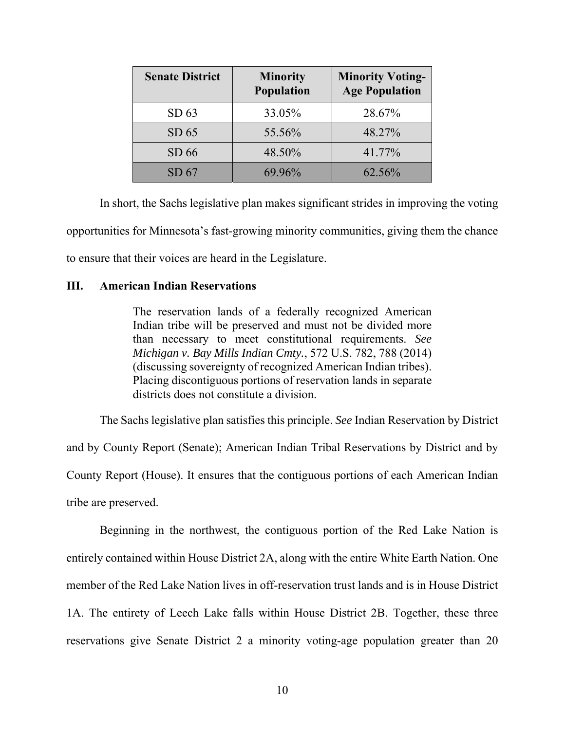| <b>Senate District</b> | <b>Minority</b><br>Population | <b>Minority Voting-</b><br><b>Age Population</b> |
|------------------------|-------------------------------|--------------------------------------------------|
| SD <sub>63</sub>       | 33.05%                        | 28.67%                                           |
| SD 65                  | 55.56%                        | 48.27%                                           |
| SD66                   | 48.50%                        | 41.77%                                           |
| SD67                   | 69.96%                        | 62.56%                                           |

In short, the Sachs legislative plan makes significant strides in improving the voting opportunities for Minnesota's fast-growing minority communities, giving them the chance to ensure that their voices are heard in the Legislature.

### **III. American Indian Reservations**

The reservation lands of a federally recognized American Indian tribe will be preserved and must not be divided more than necessary to meet constitutional requirements. *See Michigan v. Bay Mills Indian Cmty.*, 572 U.S. 782, 788 (2014) (discussing sovereignty of recognized American Indian tribes). Placing discontiguous portions of reservation lands in separate districts does not constitute a division.

The Sachs legislative plan satisfies this principle. *See* Indian Reservation by District and by County Report (Senate); American Indian Tribal Reservations by District and by County Report (House). It ensures that the contiguous portions of each American Indian tribe are preserved.

Beginning in the northwest, the contiguous portion of the Red Lake Nation is entirely contained within House District 2A, along with the entire White Earth Nation. One member of the Red Lake Nation lives in off-reservation trust lands and is in House District 1A. The entirety of Leech Lake falls within House District 2B. Together, these three reservations give Senate District 2 a minority voting-age population greater than 20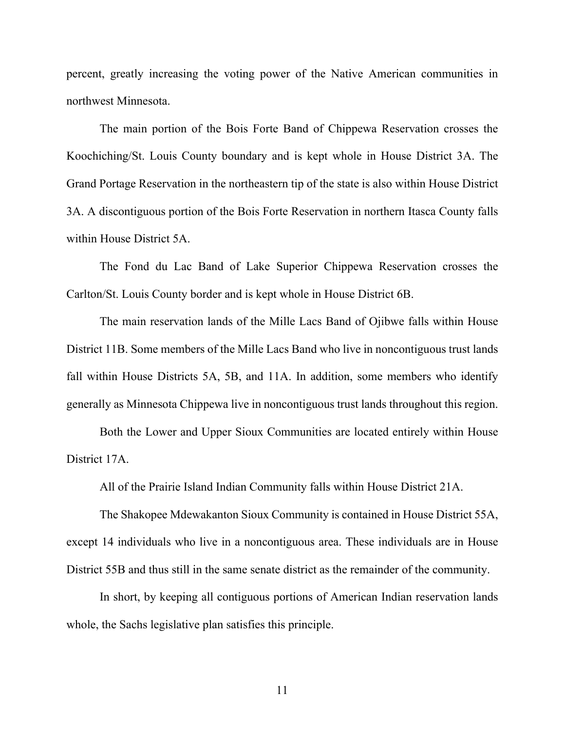percent, greatly increasing the voting power of the Native American communities in northwest Minnesota.

The main portion of the Bois Forte Band of Chippewa Reservation crosses the Koochiching/St. Louis County boundary and is kept whole in House District 3A. The Grand Portage Reservation in the northeastern tip of the state is also within House District 3A. A discontiguous portion of the Bois Forte Reservation in northern Itasca County falls within House District 5A.

The Fond du Lac Band of Lake Superior Chippewa Reservation crosses the Carlton/St. Louis County border and is kept whole in House District 6B.

The main reservation lands of the Mille Lacs Band of Ojibwe falls within House District 11B. Some members of the Mille Lacs Band who live in noncontiguous trust lands fall within House Districts 5A, 5B, and 11A. In addition, some members who identify generally as Minnesota Chippewa live in noncontiguous trust lands throughout this region.

Both the Lower and Upper Sioux Communities are located entirely within House District 17A.

All of the Prairie Island Indian Community falls within House District 21A.

The Shakopee Mdewakanton Sioux Community is contained in House District 55A, except 14 individuals who live in a noncontiguous area. These individuals are in House District 55B and thus still in the same senate district as the remainder of the community.

In short, by keeping all contiguous portions of American Indian reservation lands whole, the Sachs legislative plan satisfies this principle.

11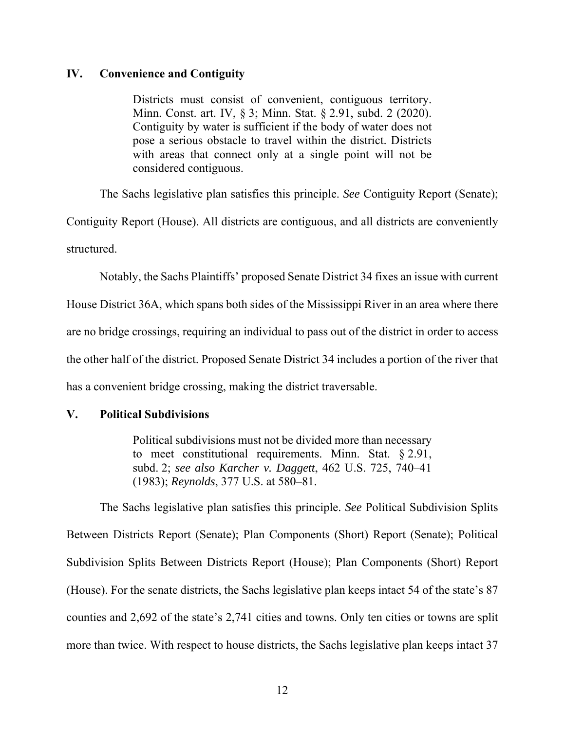### **IV. Convenience and Contiguity**

Districts must consist of convenient, contiguous territory. Minn. Const. art. IV, § 3; Minn. Stat. § 2.91, subd. 2 (2020). Contiguity by water is sufficient if the body of water does not pose a serious obstacle to travel within the district. Districts with areas that connect only at a single point will not be considered contiguous.

The Sachs legislative plan satisfies this principle. *See* Contiguity Report (Senate);

Contiguity Report (House). All districts are contiguous, and all districts are conveniently structured.

Notably, the Sachs Plaintiffs' proposed Senate District 34 fixes an issue with current

House District 36A, which spans both sides of the Mississippi River in an area where there are no bridge crossings, requiring an individual to pass out of the district in order to access the other half of the district. Proposed Senate District 34 includes a portion of the river that has a convenient bridge crossing, making the district traversable.

### **V. Political Subdivisions**

Political subdivisions must not be divided more than necessary to meet constitutional requirements. Minn. Stat. § 2.91, subd. 2; *see also Karcher v. Daggett*, 462 U.S. 725, 740–41 (1983); *Reynolds*, 377 U.S. at 580–81.

The Sachs legislative plan satisfies this principle. *See* Political Subdivision Splits Between Districts Report (Senate); Plan Components (Short) Report (Senate); Political Subdivision Splits Between Districts Report (House); Plan Components (Short) Report (House). For the senate districts, the Sachs legislative plan keeps intact 54 of the state's 87 counties and 2,692 of the state's 2,741 cities and towns. Only ten cities or towns are split more than twice. With respect to house districts, the Sachs legislative plan keeps intact 37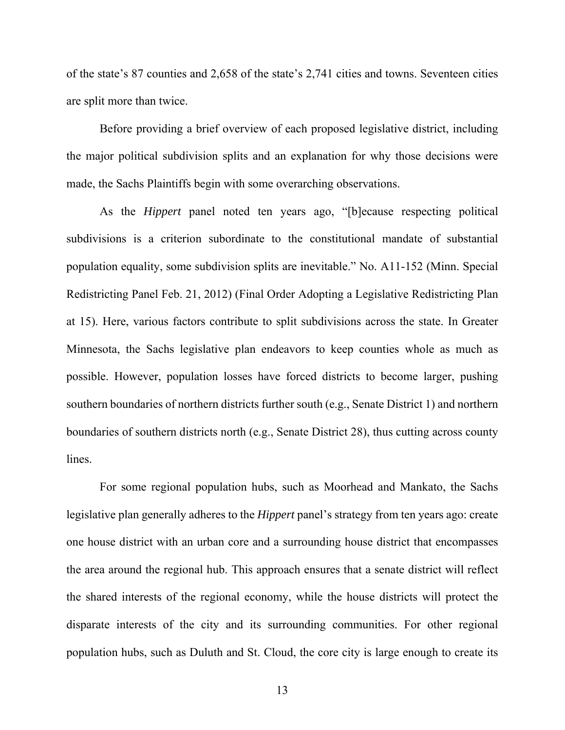of the state's 87 counties and 2,658 of the state's 2,741 cities and towns. Seventeen cities are split more than twice.

Before providing a brief overview of each proposed legislative district, including the major political subdivision splits and an explanation for why those decisions were made, the Sachs Plaintiffs begin with some overarching observations.

As the *Hippert* panel noted ten years ago, "[b]ecause respecting political subdivisions is a criterion subordinate to the constitutional mandate of substantial population equality, some subdivision splits are inevitable." No. A11-152 (Minn. Special Redistricting Panel Feb. 21, 2012) (Final Order Adopting a Legislative Redistricting Plan at 15). Here, various factors contribute to split subdivisions across the state. In Greater Minnesota, the Sachs legislative plan endeavors to keep counties whole as much as possible. However, population losses have forced districts to become larger, pushing southern boundaries of northern districts further south (e.g., Senate District 1) and northern boundaries of southern districts north (e.g., Senate District 28), thus cutting across county lines.

For some regional population hubs, such as Moorhead and Mankato, the Sachs legislative plan generally adheres to the *Hippert* panel's strategy from ten years ago: create one house district with an urban core and a surrounding house district that encompasses the area around the regional hub. This approach ensures that a senate district will reflect the shared interests of the regional economy, while the house districts will protect the disparate interests of the city and its surrounding communities. For other regional population hubs, such as Duluth and St. Cloud, the core city is large enough to create its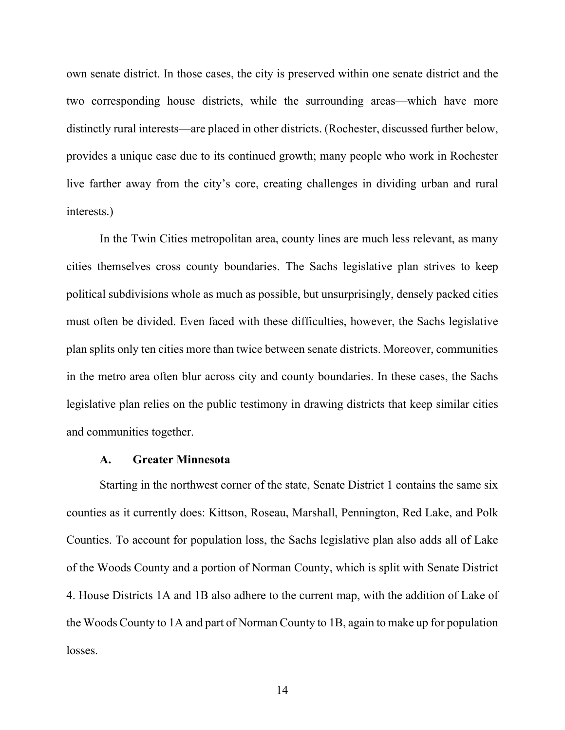own senate district. In those cases, the city is preserved within one senate district and the two corresponding house districts, while the surrounding areas—which have more distinctly rural interests—are placed in other districts. (Rochester, discussed further below, provides a unique case due to its continued growth; many people who work in Rochester live farther away from the city's core, creating challenges in dividing urban and rural interests.)

In the Twin Cities metropolitan area, county lines are much less relevant, as many cities themselves cross county boundaries. The Sachs legislative plan strives to keep political subdivisions whole as much as possible, but unsurprisingly, densely packed cities must often be divided. Even faced with these difficulties, however, the Sachs legislative plan splits only ten cities more than twice between senate districts. Moreover, communities in the metro area often blur across city and county boundaries. In these cases, the Sachs legislative plan relies on the public testimony in drawing districts that keep similar cities and communities together.

#### **A. Greater Minnesota**

Starting in the northwest corner of the state, Senate District 1 contains the same six counties as it currently does: Kittson, Roseau, Marshall, Pennington, Red Lake, and Polk Counties. To account for population loss, the Sachs legislative plan also adds all of Lake of the Woods County and a portion of Norman County, which is split with Senate District 4. House Districts 1A and 1B also adhere to the current map, with the addition of Lake of the Woods County to 1A and part of Norman County to 1B, again to make up for population losses.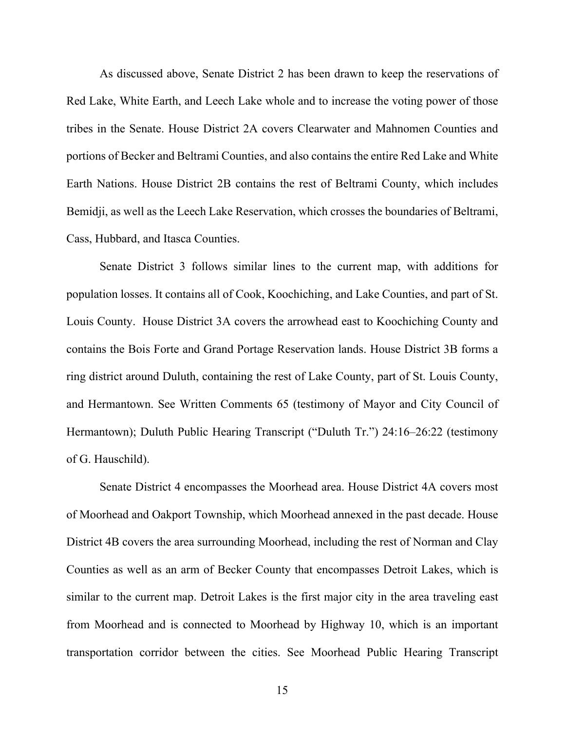As discussed above, Senate District 2 has been drawn to keep the reservations of Red Lake, White Earth, and Leech Lake whole and to increase the voting power of those tribes in the Senate. House District 2A covers Clearwater and Mahnomen Counties and portions of Becker and Beltrami Counties, and also contains the entire Red Lake and White Earth Nations. House District 2B contains the rest of Beltrami County, which includes Bemidji, as well as the Leech Lake Reservation, which crosses the boundaries of Beltrami, Cass, Hubbard, and Itasca Counties.

Senate District 3 follows similar lines to the current map, with additions for population losses. It contains all of Cook, Koochiching, and Lake Counties, and part of St. Louis County. House District 3A covers the arrowhead east to Koochiching County and contains the Bois Forte and Grand Portage Reservation lands. House District 3B forms a ring district around Duluth, containing the rest of Lake County, part of St. Louis County, and Hermantown. See Written Comments 65 (testimony of Mayor and City Council of Hermantown); Duluth Public Hearing Transcript ("Duluth Tr.") 24:16–26:22 (testimony of G. Hauschild).

Senate District 4 encompasses the Moorhead area. House District 4A covers most of Moorhead and Oakport Township, which Moorhead annexed in the past decade. House District 4B covers the area surrounding Moorhead, including the rest of Norman and Clay Counties as well as an arm of Becker County that encompasses Detroit Lakes, which is similar to the current map. Detroit Lakes is the first major city in the area traveling east from Moorhead and is connected to Moorhead by Highway 10, which is an important transportation corridor between the cities. See Moorhead Public Hearing Transcript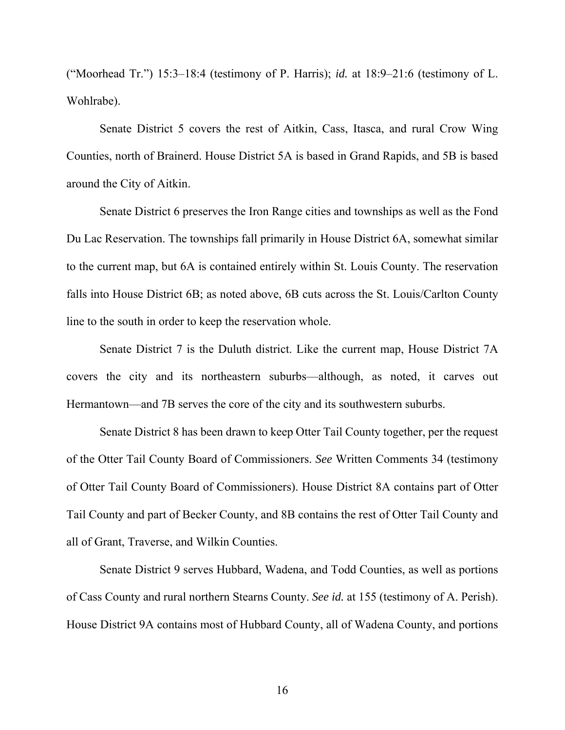("Moorhead Tr.") 15:3–18:4 (testimony of P. Harris); *id.* at 18:9–21:6 (testimony of L. Wohlrabe).

Senate District 5 covers the rest of Aitkin, Cass, Itasca, and rural Crow Wing Counties, north of Brainerd. House District 5A is based in Grand Rapids, and 5B is based around the City of Aitkin.

Senate District 6 preserves the Iron Range cities and townships as well as the Fond Du Lac Reservation. The townships fall primarily in House District 6A, somewhat similar to the current map, but 6A is contained entirely within St. Louis County. The reservation falls into House District 6B; as noted above, 6B cuts across the St. Louis/Carlton County line to the south in order to keep the reservation whole.

Senate District 7 is the Duluth district. Like the current map, House District 7A covers the city and its northeastern suburbs—although, as noted, it carves out Hermantown—and 7B serves the core of the city and its southwestern suburbs.

Senate District 8 has been drawn to keep Otter Tail County together, per the request of the Otter Tail County Board of Commissioners. *See* Written Comments 34 (testimony of Otter Tail County Board of Commissioners). House District 8A contains part of Otter Tail County and part of Becker County, and 8B contains the rest of Otter Tail County and all of Grant, Traverse, and Wilkin Counties.

Senate District 9 serves Hubbard, Wadena, and Todd Counties, as well as portions of Cass County and rural northern Stearns County. *See id.* at 155 (testimony of A. Perish). House District 9A contains most of Hubbard County, all of Wadena County, and portions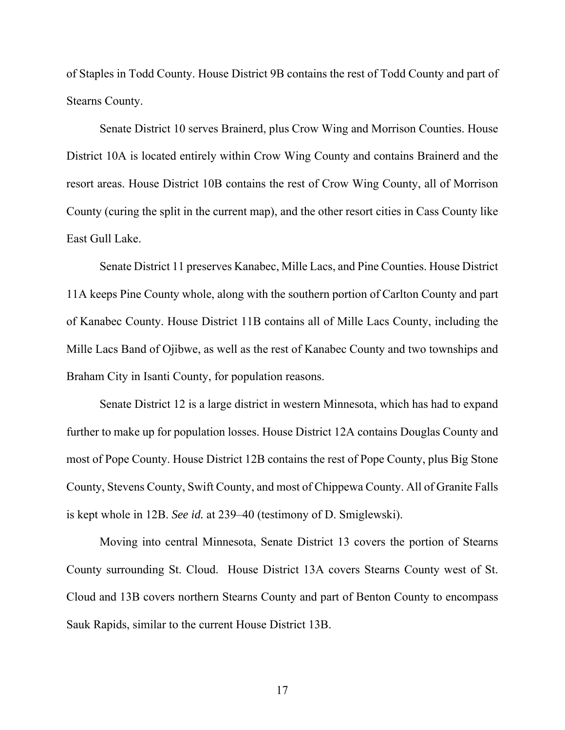of Staples in Todd County. House District 9B contains the rest of Todd County and part of Stearns County.

Senate District 10 serves Brainerd, plus Crow Wing and Morrison Counties. House District 10A is located entirely within Crow Wing County and contains Brainerd and the resort areas. House District 10B contains the rest of Crow Wing County, all of Morrison County (curing the split in the current map), and the other resort cities in Cass County like East Gull Lake.

Senate District 11 preserves Kanabec, Mille Lacs, and Pine Counties. House District 11A keeps Pine County whole, along with the southern portion of Carlton County and part of Kanabec County. House District 11B contains all of Mille Lacs County, including the Mille Lacs Band of Ojibwe, as well as the rest of Kanabec County and two townships and Braham City in Isanti County, for population reasons.

Senate District 12 is a large district in western Minnesota, which has had to expand further to make up for population losses. House District 12A contains Douglas County and most of Pope County. House District 12B contains the rest of Pope County, plus Big Stone County, Stevens County, Swift County, and most of Chippewa County. All of Granite Falls is kept whole in 12B. *See id.* at 239–40 (testimony of D. Smiglewski).

Moving into central Minnesota, Senate District 13 covers the portion of Stearns County surrounding St. Cloud. House District 13A covers Stearns County west of St. Cloud and 13B covers northern Stearns County and part of Benton County to encompass Sauk Rapids, similar to the current House District 13B.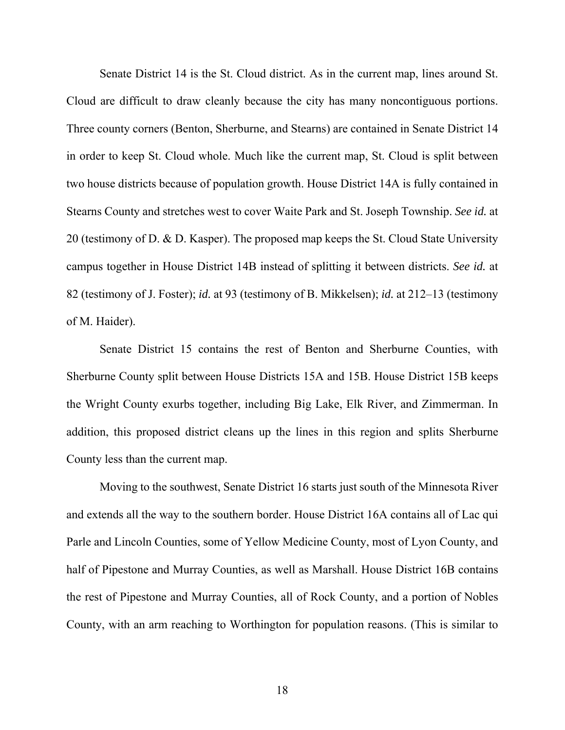Senate District 14 is the St. Cloud district. As in the current map, lines around St. Cloud are difficult to draw cleanly because the city has many noncontiguous portions. Three county corners (Benton, Sherburne, and Stearns) are contained in Senate District 14 in order to keep St. Cloud whole. Much like the current map, St. Cloud is split between two house districts because of population growth. House District 14A is fully contained in Stearns County and stretches west to cover Waite Park and St. Joseph Township. *See id.* at 20 (testimony of D. & D. Kasper). The proposed map keeps the St. Cloud State University campus together in House District 14B instead of splitting it between districts. *See id.* at 82 (testimony of J. Foster); *id.* at 93 (testimony of B. Mikkelsen); *id.* at 212–13 (testimony of M. Haider).

Senate District 15 contains the rest of Benton and Sherburne Counties, with Sherburne County split between House Districts 15A and 15B. House District 15B keeps the Wright County exurbs together, including Big Lake, Elk River, and Zimmerman. In addition, this proposed district cleans up the lines in this region and splits Sherburne County less than the current map.

Moving to the southwest, Senate District 16 starts just south of the Minnesota River and extends all the way to the southern border. House District 16A contains all of Lac qui Parle and Lincoln Counties, some of Yellow Medicine County, most of Lyon County, and half of Pipestone and Murray Counties, as well as Marshall. House District 16B contains the rest of Pipestone and Murray Counties, all of Rock County, and a portion of Nobles County, with an arm reaching to Worthington for population reasons. (This is similar to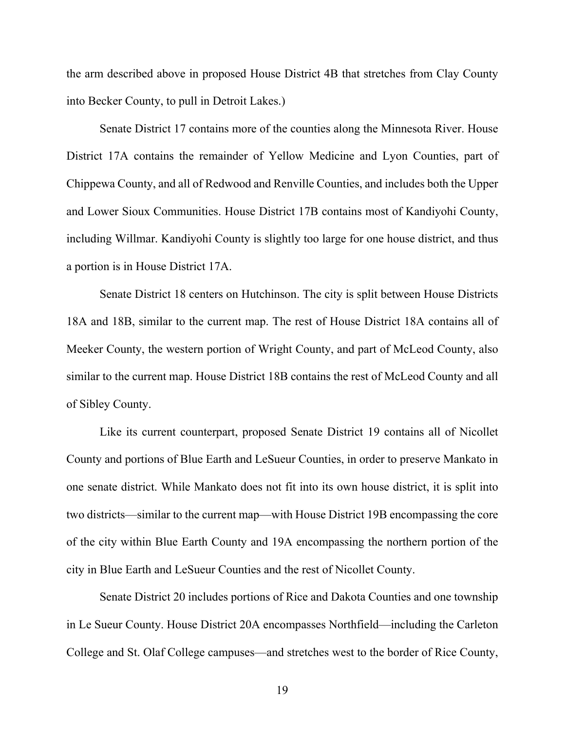the arm described above in proposed House District 4B that stretches from Clay County into Becker County, to pull in Detroit Lakes.)

Senate District 17 contains more of the counties along the Minnesota River. House District 17A contains the remainder of Yellow Medicine and Lyon Counties, part of Chippewa County, and all of Redwood and Renville Counties, and includes both the Upper and Lower Sioux Communities. House District 17B contains most of Kandiyohi County, including Willmar. Kandiyohi County is slightly too large for one house district, and thus a portion is in House District 17A.

Senate District 18 centers on Hutchinson. The city is split between House Districts 18A and 18B, similar to the current map. The rest of House District 18A contains all of Meeker County, the western portion of Wright County, and part of McLeod County, also similar to the current map. House District 18B contains the rest of McLeod County and all of Sibley County.

Like its current counterpart, proposed Senate District 19 contains all of Nicollet County and portions of Blue Earth and LeSueur Counties, in order to preserve Mankato in one senate district. While Mankato does not fit into its own house district, it is split into two districts—similar to the current map—with House District 19B encompassing the core of the city within Blue Earth County and 19A encompassing the northern portion of the city in Blue Earth and LeSueur Counties and the rest of Nicollet County.

Senate District 20 includes portions of Rice and Dakota Counties and one township in Le Sueur County. House District 20A encompasses Northfield—including the Carleton College and St. Olaf College campuses—and stretches west to the border of Rice County,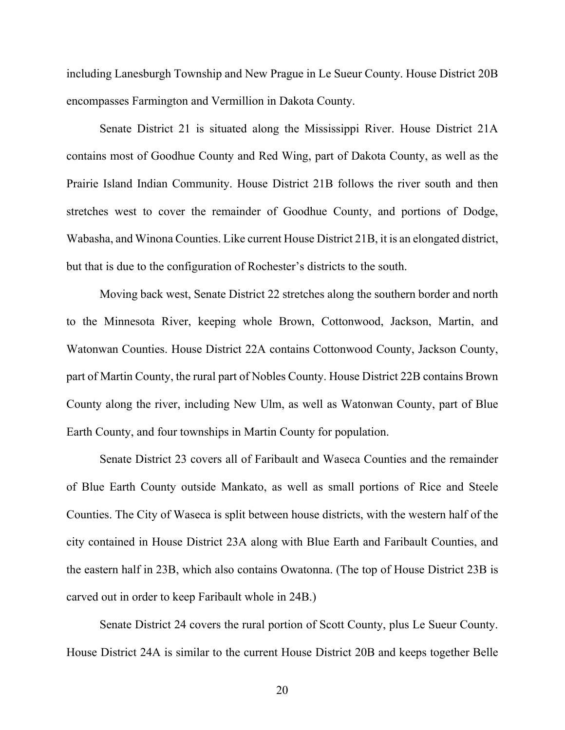including Lanesburgh Township and New Prague in Le Sueur County. House District 20B encompasses Farmington and Vermillion in Dakota County.

Senate District 21 is situated along the Mississippi River. House District 21A contains most of Goodhue County and Red Wing, part of Dakota County, as well as the Prairie Island Indian Community. House District 21B follows the river south and then stretches west to cover the remainder of Goodhue County, and portions of Dodge, Wabasha, and Winona Counties. Like current House District 21B, it is an elongated district, but that is due to the configuration of Rochester's districts to the south.

Moving back west, Senate District 22 stretches along the southern border and north to the Minnesota River, keeping whole Brown, Cottonwood, Jackson, Martin, and Watonwan Counties. House District 22A contains Cottonwood County, Jackson County, part of Martin County, the rural part of Nobles County. House District 22B contains Brown County along the river, including New Ulm, as well as Watonwan County, part of Blue Earth County, and four townships in Martin County for population.

Senate District 23 covers all of Faribault and Waseca Counties and the remainder of Blue Earth County outside Mankato, as well as small portions of Rice and Steele Counties. The City of Waseca is split between house districts, with the western half of the city contained in House District 23A along with Blue Earth and Faribault Counties, and the eastern half in 23B, which also contains Owatonna. (The top of House District 23B is carved out in order to keep Faribault whole in 24B.)

Senate District 24 covers the rural portion of Scott County, plus Le Sueur County. House District 24A is similar to the current House District 20B and keeps together Belle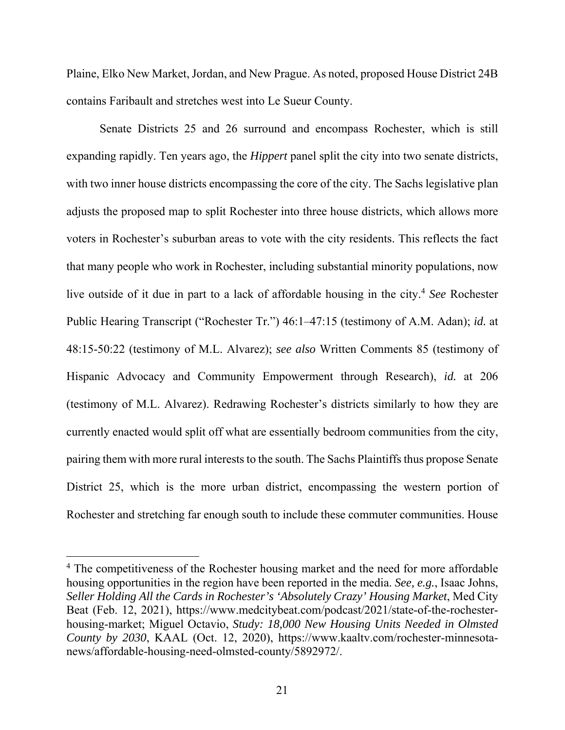Plaine, Elko New Market, Jordan, and New Prague. As noted, proposed House District 24B contains Faribault and stretches west into Le Sueur County.

Senate Districts 25 and 26 surround and encompass Rochester, which is still expanding rapidly. Ten years ago, the *Hippert* panel split the city into two senate districts, with two inner house districts encompassing the core of the city. The Sachs legislative plan adjusts the proposed map to split Rochester into three house districts, which allows more voters in Rochester's suburban areas to vote with the city residents. This reflects the fact that many people who work in Rochester, including substantial minority populations, now live outside of it due in part to a lack of affordable housing in the city.<sup>4</sup> *See* Rochester Public Hearing Transcript ("Rochester Tr.") 46:1–47:15 (testimony of A.M. Adan); *id.* at 48:15-50:22 (testimony of M.L. Alvarez); *see also* Written Comments 85 (testimony of Hispanic Advocacy and Community Empowerment through Research), *id.* at 206 (testimony of M.L. Alvarez). Redrawing Rochester's districts similarly to how they are currently enacted would split off what are essentially bedroom communities from the city, pairing them with more rural interests to the south. The Sachs Plaintiffs thus propose Senate District 25, which is the more urban district, encompassing the western portion of Rochester and stretching far enough south to include these commuter communities. House

 $\overline{a}$ 

<sup>&</sup>lt;sup>4</sup> The competitiveness of the Rochester housing market and the need for more affordable housing opportunities in the region have been reported in the media. *See, e.g.*, Isaac Johns, *Seller Holding All the Cards in Rochester's 'Absolutely Crazy' Housing Market*, Med City Beat (Feb. 12, 2021), https://www.medcitybeat.com/podcast/2021/state-of-the-rochesterhousing-market; Miguel Octavio, *Study: 18,000 New Housing Units Needed in Olmsted County by 2030*, KAAL (Oct. 12, 2020), https://www.kaaltv.com/rochester-minnesotanews/affordable-housing-need-olmsted-county/5892972/.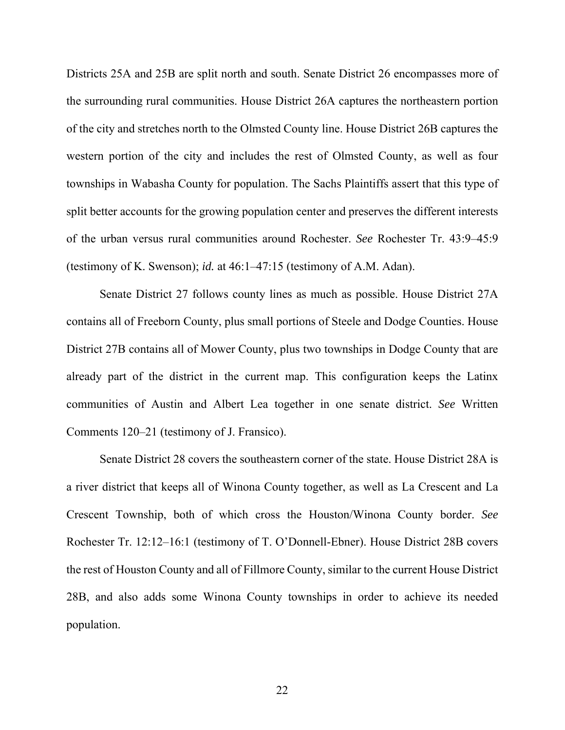Districts 25A and 25B are split north and south. Senate District 26 encompasses more of the surrounding rural communities. House District 26A captures the northeastern portion of the city and stretches north to the Olmsted County line. House District 26B captures the western portion of the city and includes the rest of Olmsted County, as well as four townships in Wabasha County for population. The Sachs Plaintiffs assert that this type of split better accounts for the growing population center and preserves the different interests of the urban versus rural communities around Rochester. *See* Rochester Tr. 43:9–45:9 (testimony of K. Swenson); *id.* at 46:1–47:15 (testimony of A.M. Adan).

Senate District 27 follows county lines as much as possible. House District 27A contains all of Freeborn County, plus small portions of Steele and Dodge Counties. House District 27B contains all of Mower County, plus two townships in Dodge County that are already part of the district in the current map. This configuration keeps the Latinx communities of Austin and Albert Lea together in one senate district. *See* Written Comments 120–21 (testimony of J. Fransico).

Senate District 28 covers the southeastern corner of the state. House District 28A is a river district that keeps all of Winona County together, as well as La Crescent and La Crescent Township, both of which cross the Houston/Winona County border. *See* Rochester Tr. 12:12–16:1 (testimony of T. O'Donnell-Ebner). House District 28B covers the rest of Houston County and all of Fillmore County, similar to the current House District 28B, and also adds some Winona County townships in order to achieve its needed population.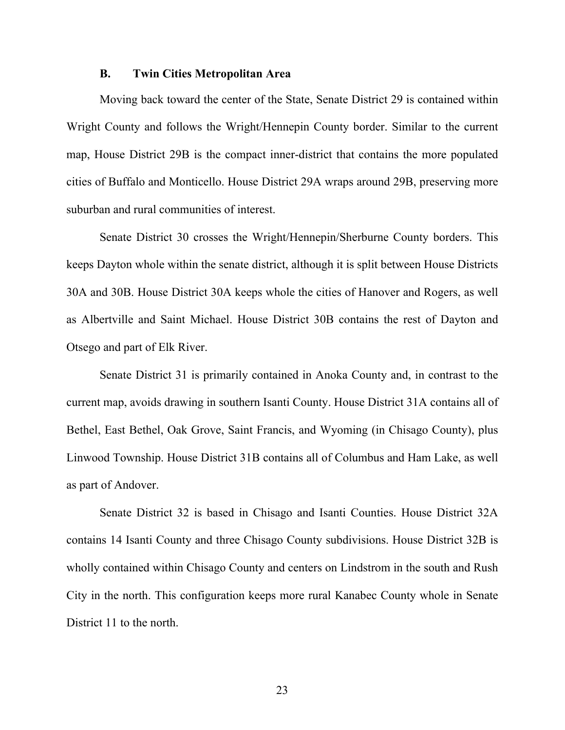#### **B. Twin Cities Metropolitan Area**

Moving back toward the center of the State, Senate District 29 is contained within Wright County and follows the Wright/Hennepin County border. Similar to the current map, House District 29B is the compact inner-district that contains the more populated cities of Buffalo and Monticello. House District 29A wraps around 29B, preserving more suburban and rural communities of interest.

Senate District 30 crosses the Wright/Hennepin/Sherburne County borders. This keeps Dayton whole within the senate district, although it is split between House Districts 30A and 30B. House District 30A keeps whole the cities of Hanover and Rogers, as well as Albertville and Saint Michael. House District 30B contains the rest of Dayton and Otsego and part of Elk River.

Senate District 31 is primarily contained in Anoka County and, in contrast to the current map, avoids drawing in southern Isanti County. House District 31A contains all of Bethel, East Bethel, Oak Grove, Saint Francis, and Wyoming (in Chisago County), plus Linwood Township. House District 31B contains all of Columbus and Ham Lake, as well as part of Andover.

Senate District 32 is based in Chisago and Isanti Counties. House District 32A contains 14 Isanti County and three Chisago County subdivisions. House District 32B is wholly contained within Chisago County and centers on Lindstrom in the south and Rush City in the north. This configuration keeps more rural Kanabec County whole in Senate District 11 to the north.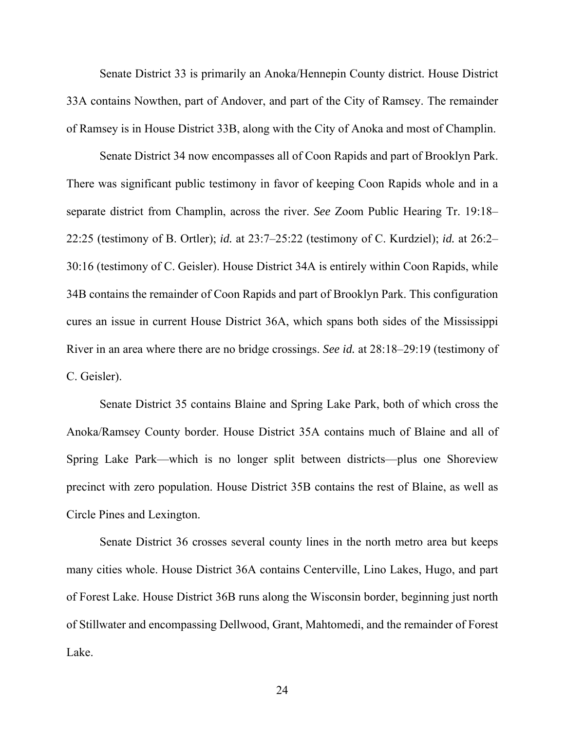Senate District 33 is primarily an Anoka/Hennepin County district. House District 33A contains Nowthen, part of Andover, and part of the City of Ramsey. The remainder of Ramsey is in House District 33B, along with the City of Anoka and most of Champlin.

Senate District 34 now encompasses all of Coon Rapids and part of Brooklyn Park. There was significant public testimony in favor of keeping Coon Rapids whole and in a separate district from Champlin, across the river. *See* Zoom Public Hearing Tr. 19:18– 22:25 (testimony of B. Ortler); *id.* at 23:7–25:22 (testimony of C. Kurdziel); *id.* at 26:2– 30:16 (testimony of C. Geisler). House District 34A is entirely within Coon Rapids, while 34B contains the remainder of Coon Rapids and part of Brooklyn Park. This configuration cures an issue in current House District 36A, which spans both sides of the Mississippi River in an area where there are no bridge crossings. *See id.* at 28:18–29:19 (testimony of C. Geisler).

Senate District 35 contains Blaine and Spring Lake Park, both of which cross the Anoka/Ramsey County border. House District 35A contains much of Blaine and all of Spring Lake Park—which is no longer split between districts—plus one Shoreview precinct with zero population. House District 35B contains the rest of Blaine, as well as Circle Pines and Lexington.

Senate District 36 crosses several county lines in the north metro area but keeps many cities whole. House District 36A contains Centerville, Lino Lakes, Hugo, and part of Forest Lake. House District 36B runs along the Wisconsin border, beginning just north of Stillwater and encompassing Dellwood, Grant, Mahtomedi, and the remainder of Forest Lake.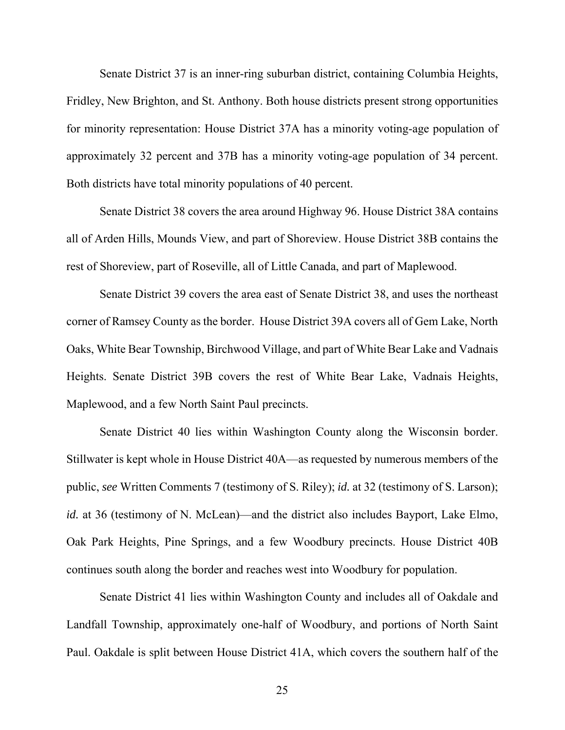Senate District 37 is an inner-ring suburban district, containing Columbia Heights, Fridley, New Brighton, and St. Anthony. Both house districts present strong opportunities for minority representation: House District 37A has a minority voting-age population of approximately 32 percent and 37B has a minority voting-age population of 34 percent. Both districts have total minority populations of 40 percent.

Senate District 38 covers the area around Highway 96. House District 38A contains all of Arden Hills, Mounds View, and part of Shoreview. House District 38B contains the rest of Shoreview, part of Roseville, all of Little Canada, and part of Maplewood.

Senate District 39 covers the area east of Senate District 38, and uses the northeast corner of Ramsey County as the border. House District 39A covers all of Gem Lake, North Oaks, White Bear Township, Birchwood Village, and part of White Bear Lake and Vadnais Heights. Senate District 39B covers the rest of White Bear Lake, Vadnais Heights, Maplewood, and a few North Saint Paul precincts.

Senate District 40 lies within Washington County along the Wisconsin border. Stillwater is kept whole in House District 40A—as requested by numerous members of the public, *see* Written Comments 7 (testimony of S. Riley); *id.* at 32 (testimony of S. Larson); *id.* at 36 (testimony of N. McLean)—and the district also includes Bayport, Lake Elmo, Oak Park Heights, Pine Springs, and a few Woodbury precincts. House District 40B continues south along the border and reaches west into Woodbury for population.

Senate District 41 lies within Washington County and includes all of Oakdale and Landfall Township, approximately one-half of Woodbury, and portions of North Saint Paul. Oakdale is split between House District 41A, which covers the southern half of the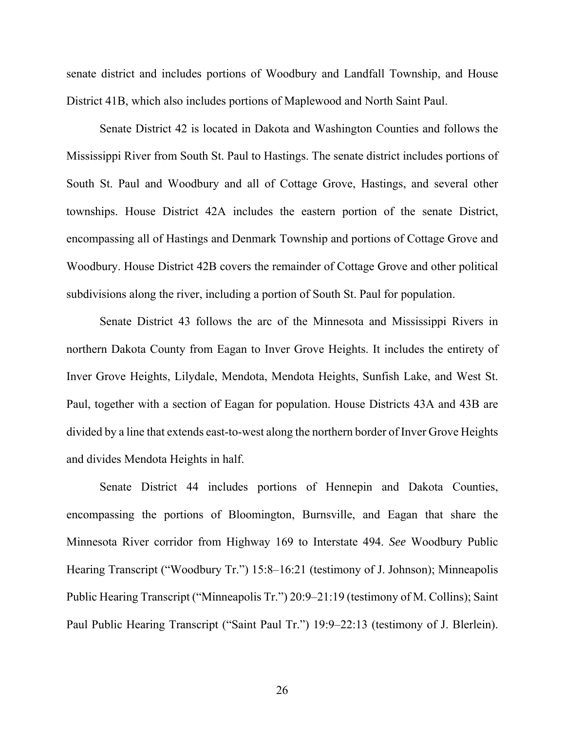senate district and includes portions of Woodbury and Landfall Township, and House District 41B, which also includes portions of Maplewood and North Saint Paul.

Senate District 42 is located in Dakota and Washington Counties and follows the Mississippi River from South St. Paul to Hastings. The senate district includes portions of South St. Paul and Woodbury and all of Cottage Grove, Hastings, and several other townships. House District 42A includes the eastern portion of the senate District, encompassing all of Hastings and Denmark Township and portions of Cottage Grove and Woodbury. House District 42B covers the remainder of Cottage Grove and other political subdivisions along the river, including a portion of South St. Paul for population.

Senate District 43 follows the arc of the Minnesota and Mississippi Rivers in northern Dakota County from Eagan to Inver Grove Heights. It includes the entirety of Inver Grove Heights, Lilydale, Mendota, Mendota Heights, Sunfish Lake, and West St. Paul, together with a section of Eagan for population. House Districts 43A and 43B are divided by a line that extends east-to-west along the northern border of Inver Grove Heights and divides Mendota Heights in half.

Senate District 44 includes portions of Hennepin and Dakota Counties, encompassing the portions of Bloomington, Burnsville, and Eagan that share the Minnesota River corridor from Highway 169 to Interstate 494. *See* Woodbury Public Hearing Transcript ("Woodbury Tr.") 15:8–16:21 (testimony of J. Johnson); Minneapolis Public Hearing Transcript ("Minneapolis Tr.") 20:9–21:19 (testimony of M. Collins); Saint Paul Public Hearing Transcript ("Saint Paul Tr.") 19:9–22:13 (testimony of J. Blerlein).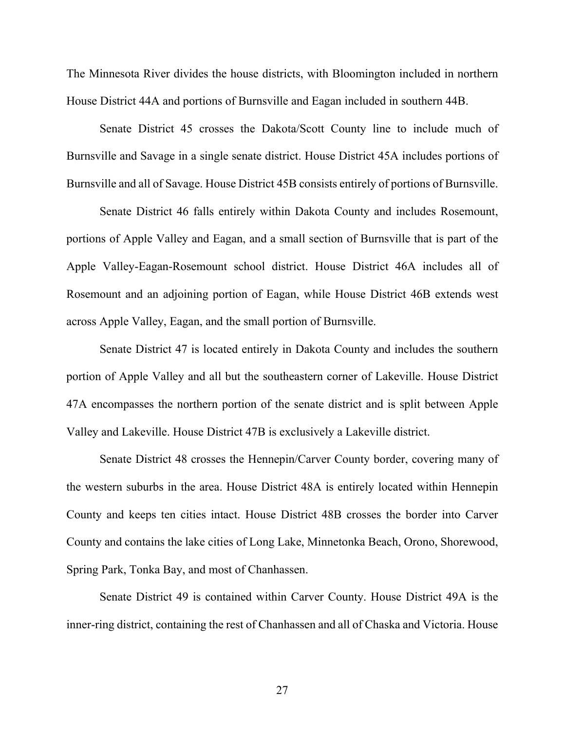The Minnesota River divides the house districts, with Bloomington included in northern House District 44A and portions of Burnsville and Eagan included in southern 44B.

Senate District 45 crosses the Dakota/Scott County line to include much of Burnsville and Savage in a single senate district. House District 45A includes portions of Burnsville and all of Savage. House District 45B consists entirely of portions of Burnsville.

Senate District 46 falls entirely within Dakota County and includes Rosemount, portions of Apple Valley and Eagan, and a small section of Burnsville that is part of the Apple Valley-Eagan-Rosemount school district. House District 46A includes all of Rosemount and an adjoining portion of Eagan, while House District 46B extends west across Apple Valley, Eagan, and the small portion of Burnsville.

Senate District 47 is located entirely in Dakota County and includes the southern portion of Apple Valley and all but the southeastern corner of Lakeville. House District 47A encompasses the northern portion of the senate district and is split between Apple Valley and Lakeville. House District 47B is exclusively a Lakeville district.

Senate District 48 crosses the Hennepin/Carver County border, covering many of the western suburbs in the area. House District 48A is entirely located within Hennepin County and keeps ten cities intact. House District 48B crosses the border into Carver County and contains the lake cities of Long Lake, Minnetonka Beach, Orono, Shorewood, Spring Park, Tonka Bay, and most of Chanhassen.

Senate District 49 is contained within Carver County. House District 49A is the inner-ring district, containing the rest of Chanhassen and all of Chaska and Victoria. House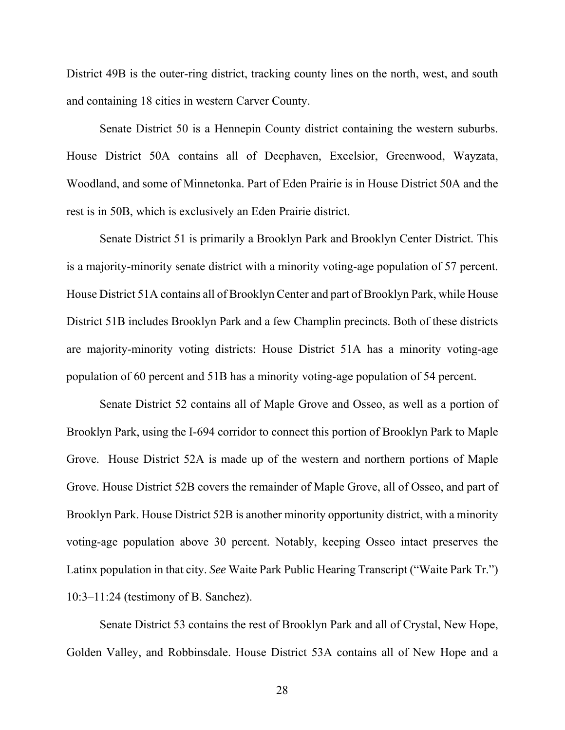District 49B is the outer-ring district, tracking county lines on the north, west, and south and containing 18 cities in western Carver County.

Senate District 50 is a Hennepin County district containing the western suburbs. House District 50A contains all of Deephaven, Excelsior, Greenwood, Wayzata, Woodland, and some of Minnetonka. Part of Eden Prairie is in House District 50A and the rest is in 50B, which is exclusively an Eden Prairie district.

Senate District 51 is primarily a Brooklyn Park and Brooklyn Center District. This is a majority-minority senate district with a minority voting-age population of 57 percent. House District 51A contains all of Brooklyn Center and part of Brooklyn Park, while House District 51B includes Brooklyn Park and a few Champlin precincts. Both of these districts are majority-minority voting districts: House District 51A has a minority voting-age population of 60 percent and 51B has a minority voting-age population of 54 percent.

Senate District 52 contains all of Maple Grove and Osseo, as well as a portion of Brooklyn Park, using the I-694 corridor to connect this portion of Brooklyn Park to Maple Grove. House District 52A is made up of the western and northern portions of Maple Grove. House District 52B covers the remainder of Maple Grove, all of Osseo, and part of Brooklyn Park. House District 52B is another minority opportunity district, with a minority voting-age population above 30 percent. Notably, keeping Osseo intact preserves the Latinx population in that city. *See* Waite Park Public Hearing Transcript ("Waite Park Tr.") 10:3–11:24 (testimony of B. Sanchez).

Senate District 53 contains the rest of Brooklyn Park and all of Crystal, New Hope, Golden Valley, and Robbinsdale. House District 53A contains all of New Hope and a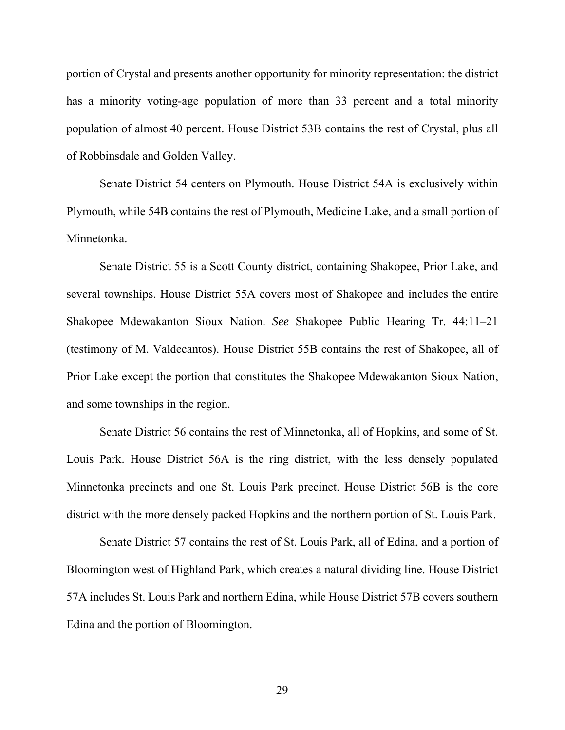portion of Crystal and presents another opportunity for minority representation: the district has a minority voting-age population of more than 33 percent and a total minority population of almost 40 percent. House District 53B contains the rest of Crystal, plus all of Robbinsdale and Golden Valley.

Senate District 54 centers on Plymouth. House District 54A is exclusively within Plymouth, while 54B contains the rest of Plymouth, Medicine Lake, and a small portion of Minnetonka.

Senate District 55 is a Scott County district, containing Shakopee, Prior Lake, and several townships. House District 55A covers most of Shakopee and includes the entire Shakopee Mdewakanton Sioux Nation. *See* Shakopee Public Hearing Tr. 44:11–21 (testimony of M. Valdecantos). House District 55B contains the rest of Shakopee, all of Prior Lake except the portion that constitutes the Shakopee Mdewakanton Sioux Nation, and some townships in the region.

Senate District 56 contains the rest of Minnetonka, all of Hopkins, and some of St. Louis Park. House District 56A is the ring district, with the less densely populated Minnetonka precincts and one St. Louis Park precinct. House District 56B is the core district with the more densely packed Hopkins and the northern portion of St. Louis Park.

Senate District 57 contains the rest of St. Louis Park, all of Edina, and a portion of Bloomington west of Highland Park, which creates a natural dividing line. House District 57A includes St. Louis Park and northern Edina, while House District 57B covers southern Edina and the portion of Bloomington.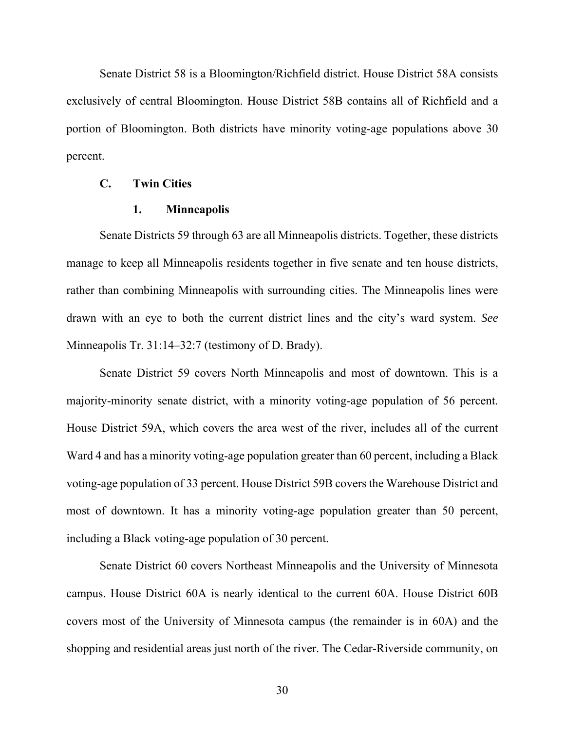Senate District 58 is a Bloomington/Richfield district. House District 58A consists exclusively of central Bloomington. House District 58B contains all of Richfield and a portion of Bloomington. Both districts have minority voting-age populations above 30 percent.

### **C. Twin Cities**

### **1. Minneapolis**

Senate Districts 59 through 63 are all Minneapolis districts. Together, these districts manage to keep all Minneapolis residents together in five senate and ten house districts, rather than combining Minneapolis with surrounding cities. The Minneapolis lines were drawn with an eye to both the current district lines and the city's ward system. *See* Minneapolis Tr. 31:14–32:7 (testimony of D. Brady).

Senate District 59 covers North Minneapolis and most of downtown. This is a majority-minority senate district, with a minority voting-age population of 56 percent. House District 59A, which covers the area west of the river, includes all of the current Ward 4 and has a minority voting-age population greater than 60 percent, including a Black voting-age population of 33 percent. House District 59B covers the Warehouse District and most of downtown. It has a minority voting-age population greater than 50 percent, including a Black voting-age population of 30 percent.

Senate District 60 covers Northeast Minneapolis and the University of Minnesota campus. House District 60A is nearly identical to the current 60A. House District 60B covers most of the University of Minnesota campus (the remainder is in 60A) and the shopping and residential areas just north of the river. The Cedar-Riverside community, on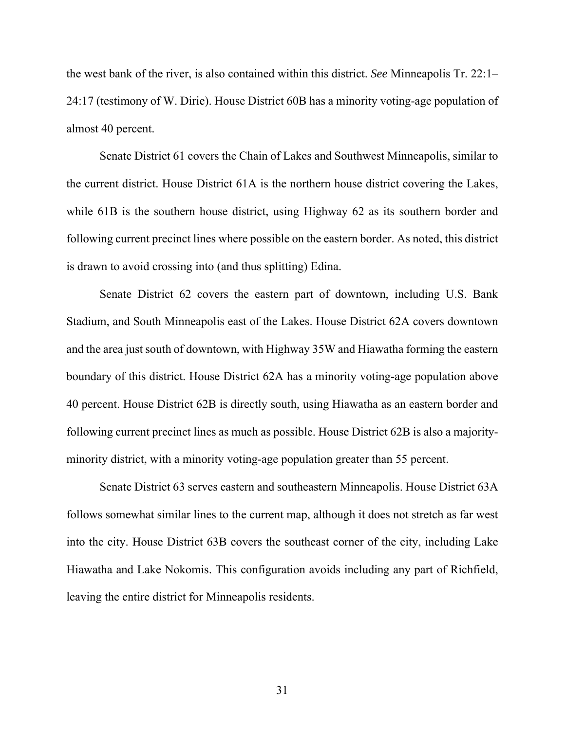the west bank of the river, is also contained within this district. *See* Minneapolis Tr. 22:1– 24:17 (testimony of W. Dirie). House District 60B has a minority voting-age population of almost 40 percent.

Senate District 61 covers the Chain of Lakes and Southwest Minneapolis, similar to the current district. House District 61A is the northern house district covering the Lakes, while 61B is the southern house district, using Highway 62 as its southern border and following current precinct lines where possible on the eastern border. As noted, this district is drawn to avoid crossing into (and thus splitting) Edina.

Senate District 62 covers the eastern part of downtown, including U.S. Bank Stadium, and South Minneapolis east of the Lakes. House District 62A covers downtown and the area just south of downtown, with Highway 35W and Hiawatha forming the eastern boundary of this district. House District 62A has a minority voting-age population above 40 percent. House District 62B is directly south, using Hiawatha as an eastern border and following current precinct lines as much as possible. House District 62B is also a majorityminority district, with a minority voting-age population greater than 55 percent.

Senate District 63 serves eastern and southeastern Minneapolis. House District 63A follows somewhat similar lines to the current map, although it does not stretch as far west into the city. House District 63B covers the southeast corner of the city, including Lake Hiawatha and Lake Nokomis. This configuration avoids including any part of Richfield, leaving the entire district for Minneapolis residents.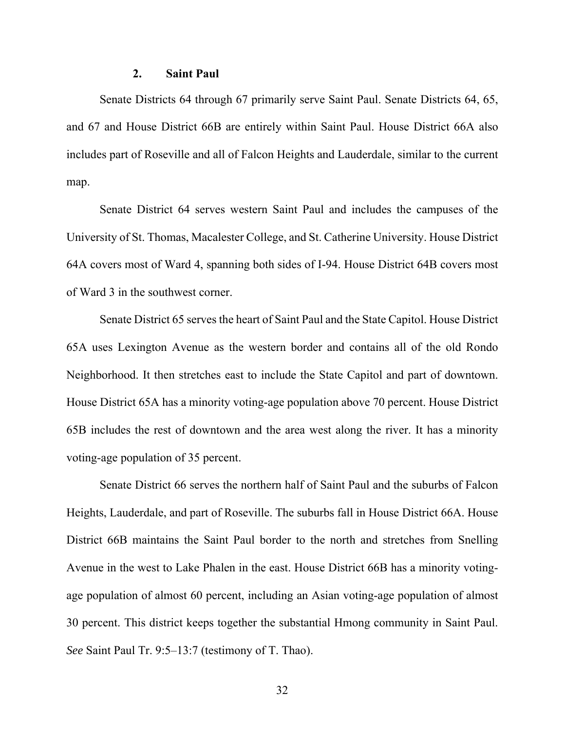### **2. Saint Paul**

Senate Districts 64 through 67 primarily serve Saint Paul. Senate Districts 64, 65, and 67 and House District 66B are entirely within Saint Paul. House District 66A also includes part of Roseville and all of Falcon Heights and Lauderdale, similar to the current map.

Senate District 64 serves western Saint Paul and includes the campuses of the University of St. Thomas, Macalester College, and St. Catherine University. House District 64A covers most of Ward 4, spanning both sides of I-94. House District 64B covers most of Ward 3 in the southwest corner.

Senate District 65 serves the heart of Saint Paul and the State Capitol. House District 65A uses Lexington Avenue as the western border and contains all of the old Rondo Neighborhood. It then stretches east to include the State Capitol and part of downtown. House District 65A has a minority voting-age population above 70 percent. House District 65B includes the rest of downtown and the area west along the river. It has a minority voting-age population of 35 percent.

Senate District 66 serves the northern half of Saint Paul and the suburbs of Falcon Heights, Lauderdale, and part of Roseville. The suburbs fall in House District 66A. House District 66B maintains the Saint Paul border to the north and stretches from Snelling Avenue in the west to Lake Phalen in the east. House District 66B has a minority votingage population of almost 60 percent, including an Asian voting-age population of almost 30 percent. This district keeps together the substantial Hmong community in Saint Paul. *See* Saint Paul Tr. 9:5–13:7 (testimony of T. Thao).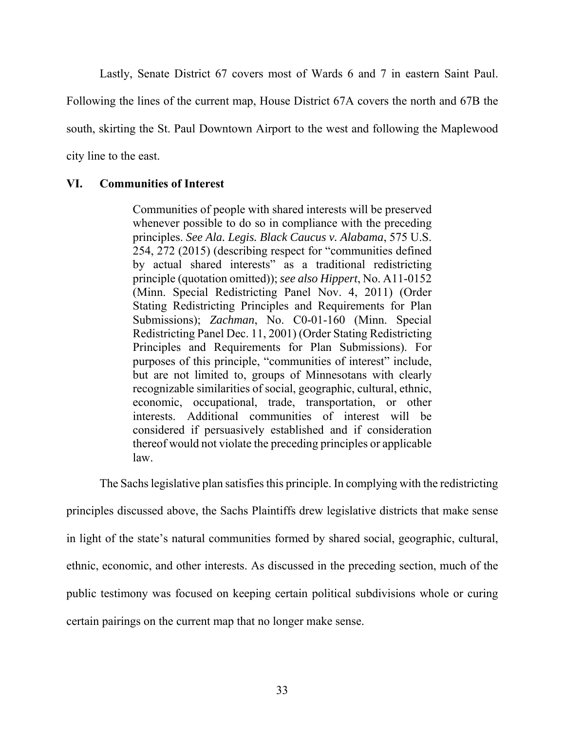Lastly, Senate District 67 covers most of Wards 6 and 7 in eastern Saint Paul.

Following the lines of the current map, House District 67A covers the north and 67B the

south, skirting the St. Paul Downtown Airport to the west and following the Maplewood

city line to the east.

### **VI. Communities of Interest**

Communities of people with shared interests will be preserved whenever possible to do so in compliance with the preceding principles. *See Ala. Legis. Black Caucus v. Alabama*, 575 U.S. 254, 272 (2015) (describing respect for "communities defined by actual shared interests" as a traditional redistricting principle (quotation omitted)); *see also Hippert*, No. A11-0152 (Minn. Special Redistricting Panel Nov. 4, 2011) (Order Stating Redistricting Principles and Requirements for Plan Submissions); *Zachman*, No. C0-01-160 (Minn. Special Redistricting Panel Dec. 11, 2001) (Order Stating Redistricting Principles and Requirements for Plan Submissions). For purposes of this principle, "communities of interest" include, but are not limited to, groups of Minnesotans with clearly recognizable similarities of social, geographic, cultural, ethnic, economic, occupational, trade, transportation, or other interests. Additional communities of interest will be considered if persuasively established and if consideration thereof would not violate the preceding principles or applicable law.

The Sachs legislative plan satisfies this principle. In complying with the redistricting

principles discussed above, the Sachs Plaintiffs drew legislative districts that make sense in light of the state's natural communities formed by shared social, geographic, cultural, ethnic, economic, and other interests. As discussed in the preceding section, much of the public testimony was focused on keeping certain political subdivisions whole or curing certain pairings on the current map that no longer make sense.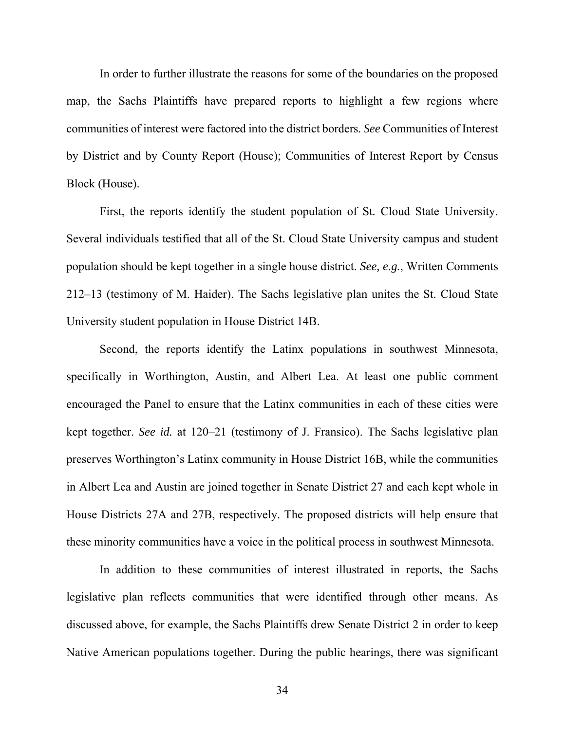In order to further illustrate the reasons for some of the boundaries on the proposed map, the Sachs Plaintiffs have prepared reports to highlight a few regions where communities of interest were factored into the district borders. *See* Communities of Interest by District and by County Report (House); Communities of Interest Report by Census Block (House).

First, the reports identify the student population of St. Cloud State University. Several individuals testified that all of the St. Cloud State University campus and student population should be kept together in a single house district. *See, e.g.*, Written Comments 212–13 (testimony of M. Haider). The Sachs legislative plan unites the St. Cloud State University student population in House District 14B.

Second, the reports identify the Latinx populations in southwest Minnesota, specifically in Worthington, Austin, and Albert Lea. At least one public comment encouraged the Panel to ensure that the Latinx communities in each of these cities were kept together. *See id.* at 120–21 (testimony of J. Fransico). The Sachs legislative plan preserves Worthington's Latinx community in House District 16B, while the communities in Albert Lea and Austin are joined together in Senate District 27 and each kept whole in House Districts 27A and 27B, respectively. The proposed districts will help ensure that these minority communities have a voice in the political process in southwest Minnesota.

In addition to these communities of interest illustrated in reports, the Sachs legislative plan reflects communities that were identified through other means. As discussed above, for example, the Sachs Plaintiffs drew Senate District 2 in order to keep Native American populations together. During the public hearings, there was significant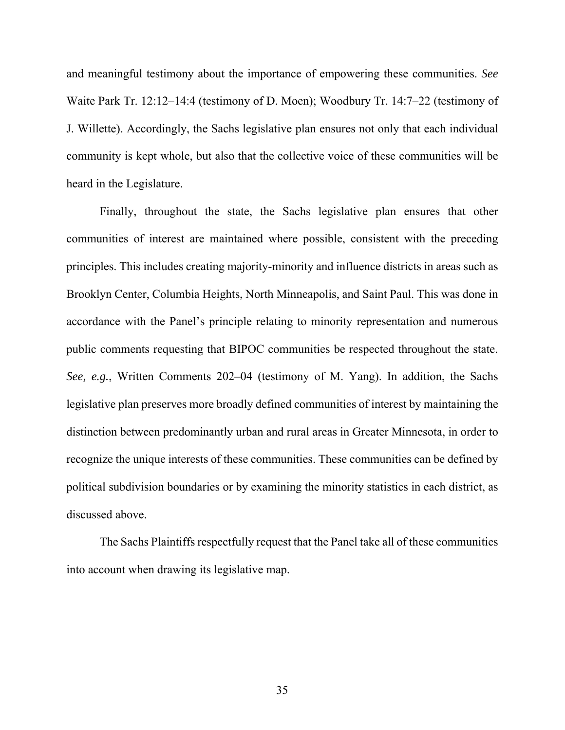and meaningful testimony about the importance of empowering these communities. *See* Waite Park Tr. 12:12–14:4 (testimony of D. Moen); Woodbury Tr. 14:7–22 (testimony of J. Willette). Accordingly, the Sachs legislative plan ensures not only that each individual community is kept whole, but also that the collective voice of these communities will be heard in the Legislature.

Finally, throughout the state, the Sachs legislative plan ensures that other communities of interest are maintained where possible, consistent with the preceding principles. This includes creating majority-minority and influence districts in areas such as Brooklyn Center, Columbia Heights, North Minneapolis, and Saint Paul. This was done in accordance with the Panel's principle relating to minority representation and numerous public comments requesting that BIPOC communities be respected throughout the state. *See, e.g.*, Written Comments 202–04 (testimony of M. Yang). In addition, the Sachs legislative plan preserves more broadly defined communities of interest by maintaining the distinction between predominantly urban and rural areas in Greater Minnesota, in order to recognize the unique interests of these communities. These communities can be defined by political subdivision boundaries or by examining the minority statistics in each district, as discussed above.

The Sachs Plaintiffs respectfully request that the Panel take all of these communities into account when drawing its legislative map.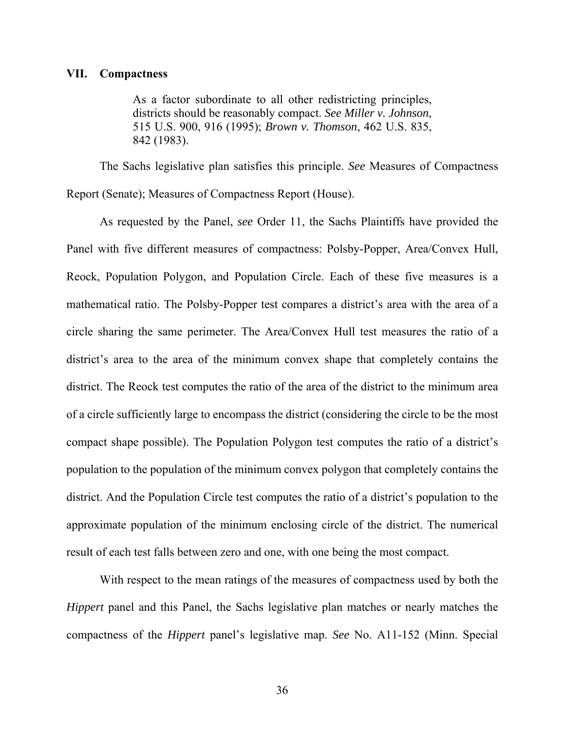#### **VII. Compactness**

As a factor subordinate to all other redistricting principles, districts should be reasonably compact. *See Miller v. Johnson*, 515 U.S. 900, 916 (1995); *Brown v. Thomson*, 462 U.S. 835, 842 (1983).

The Sachs legislative plan satisfies this principle. *See* Measures of Compactness Report (Senate); Measures of Compactness Report (House).

As requested by the Panel, *see* Order 11, the Sachs Plaintiffs have provided the Panel with five different measures of compactness: Polsby-Popper, Area/Convex Hull, Reock, Population Polygon, and Population Circle. Each of these five measures is a mathematical ratio. The Polsby-Popper test compares a district's area with the area of a circle sharing the same perimeter. The Area/Convex Hull test measures the ratio of a district's area to the area of the minimum convex shape that completely contains the district. The Reock test computes the ratio of the area of the district to the minimum area of a circle sufficiently large to encompass the district (considering the circle to be the most compact shape possible). The Population Polygon test computes the ratio of a district's population to the population of the minimum convex polygon that completely contains the district. And the Population Circle test computes the ratio of a district's population to the approximate population of the minimum enclosing circle of the district. The numerical result of each test falls between zero and one, with one being the most compact.

With respect to the mean ratings of the measures of compactness used by both the *Hippert* panel and this Panel, the Sachs legislative plan matches or nearly matches the compactness of the *Hippert* panel's legislative map. *See* No. A11-152 (Minn. Special

36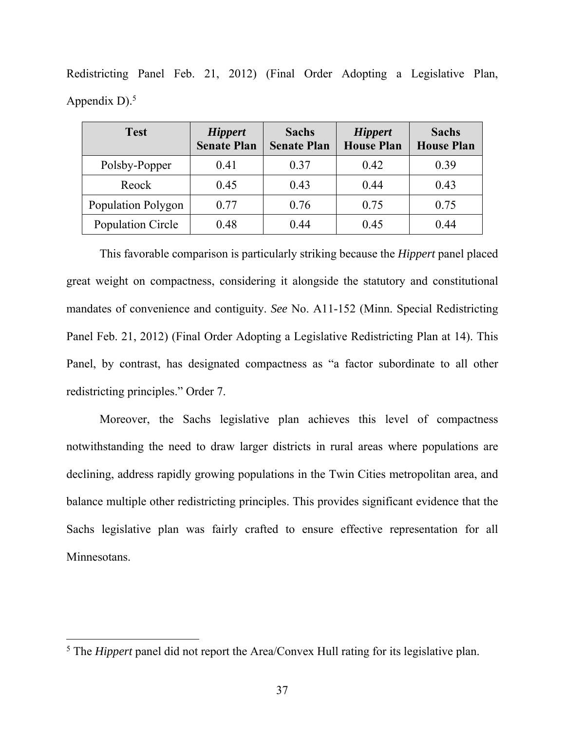| <b>Test</b>        | <b>Hippert</b><br><b>Senate Plan</b> | <b>Sachs</b><br><b>Senate Plan</b> | <b>Hippert</b><br><b>House Plan</b> | <b>Sachs</b><br><b>House Plan</b> |
|--------------------|--------------------------------------|------------------------------------|-------------------------------------|-----------------------------------|
| Polsby-Popper      | 0.41                                 | 0.37                               | 0.42                                | 0.39                              |
| Reock              | 0.45                                 | 0.43                               | 0.44                                | 0.43                              |
| Population Polygon | 0.77                                 | 0.76                               | 0.75                                | 0.75                              |
| Population Circle  | 0.48                                 | 0.44                               | 0.45                                | 0.44                              |

Redistricting Panel Feb. 21, 2012) (Final Order Adopting a Legislative Plan, Appendix  $D$ ).<sup>5</sup>

This favorable comparison is particularly striking because the *Hippert* panel placed great weight on compactness, considering it alongside the statutory and constitutional mandates of convenience and contiguity. *See* No. A11-152 (Minn. Special Redistricting Panel Feb. 21, 2012) (Final Order Adopting a Legislative Redistricting Plan at 14). This Panel, by contrast, has designated compactness as "a factor subordinate to all other redistricting principles." Order 7.

Moreover, the Sachs legislative plan achieves this level of compactness notwithstanding the need to draw larger districts in rural areas where populations are declining, address rapidly growing populations in the Twin Cities metropolitan area, and balance multiple other redistricting principles. This provides significant evidence that the Sachs legislative plan was fairly crafted to ensure effective representation for all Minnesotans.

 $\overline{a}$ 

<sup>&</sup>lt;sup>5</sup> The *Hippert* panel did not report the Area/Convex Hull rating for its legislative plan.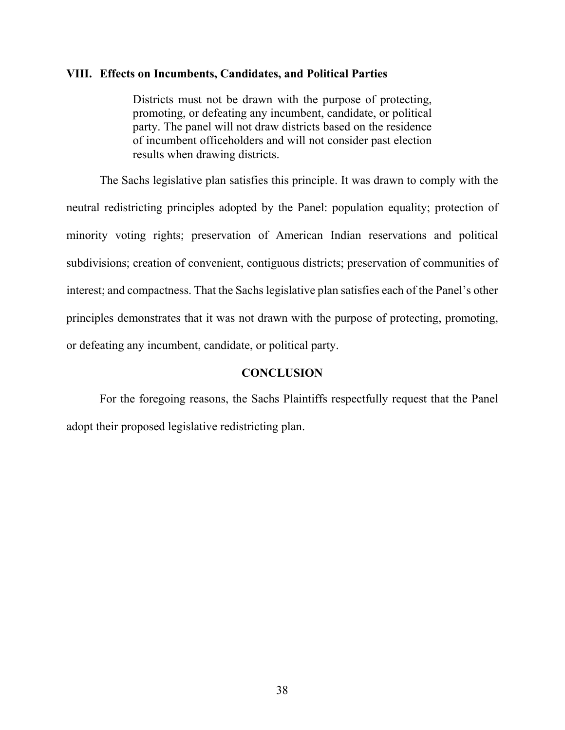#### **VIII. Effects on Incumbents, Candidates, and Political Parties**

Districts must not be drawn with the purpose of protecting, promoting, or defeating any incumbent, candidate, or political party. The panel will not draw districts based on the residence of incumbent officeholders and will not consider past election results when drawing districts.

The Sachs legislative plan satisfies this principle. It was drawn to comply with the neutral redistricting principles adopted by the Panel: population equality; protection of minority voting rights; preservation of American Indian reservations and political subdivisions; creation of convenient, contiguous districts; preservation of communities of interest; and compactness. That the Sachs legislative plan satisfies each of the Panel's other principles demonstrates that it was not drawn with the purpose of protecting, promoting, or defeating any incumbent, candidate, or political party.

### **CONCLUSION**

For the foregoing reasons, the Sachs Plaintiffs respectfully request that the Panel adopt their proposed legislative redistricting plan.